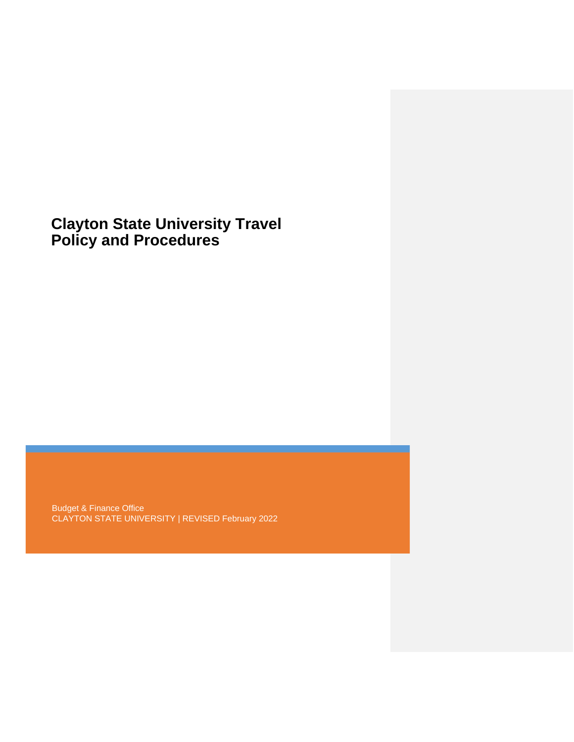# **Clayton State University Travel Policy and Procedures**

Budget & Finance Office CLAYTON STATE UNIVERSITY | REVISED February 2022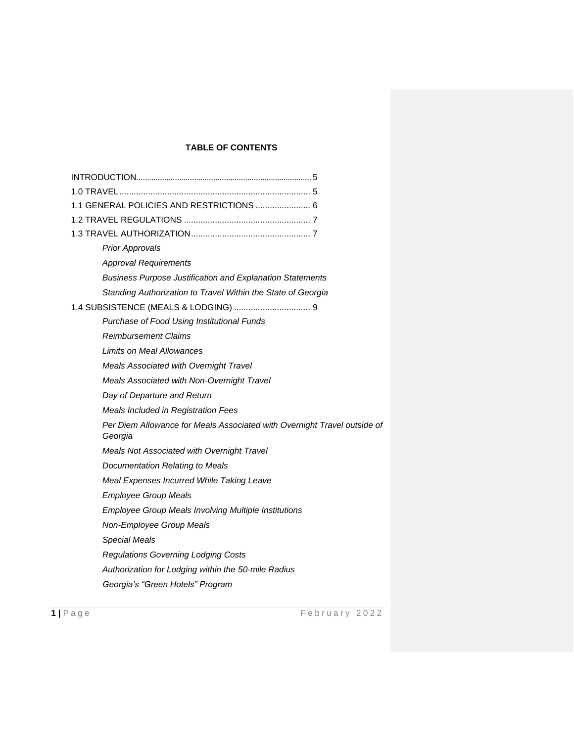# **TABLE OF CONTENTS**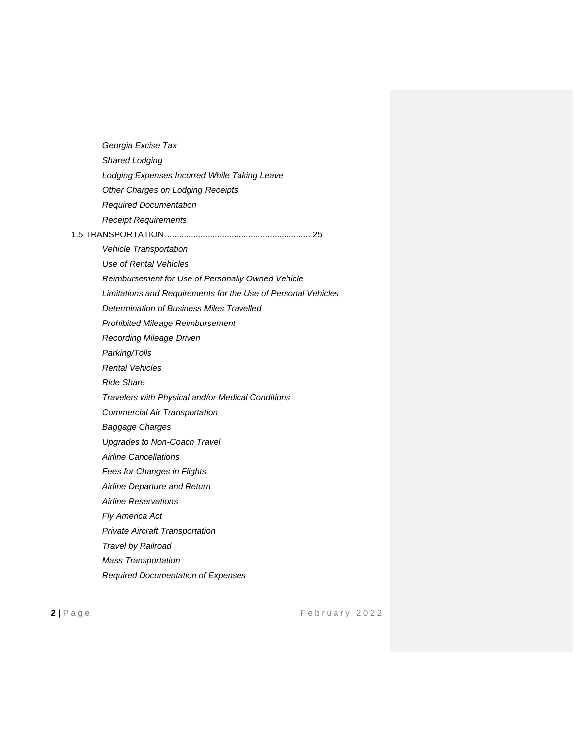| Georgia Excise Tax                                            |
|---------------------------------------------------------------|
| Shared Lodging                                                |
| Lodging Expenses Incurred While Taking Leave                  |
| Other Charges on Lodging Receipts                             |
| <b>Required Documentation</b>                                 |
| <b>Receipt Requirements</b>                                   |
|                                                               |
| <b>Vehicle Transportation</b>                                 |
| Use of Rental Vehicles                                        |
| Reimbursement for Use of Personally Owned Vehicle             |
| Limitations and Requirements for the Use of Personal Vehicles |
| Determination of Business Miles Travelled                     |
| <b>Prohibited Mileage Reimbursement</b>                       |
| <b>Recording Mileage Driven</b>                               |
| Parking/Tolls                                                 |
| <b>Rental Vehicles</b>                                        |
| <b>Ride Share</b>                                             |
| Travelers with Physical and/or Medical Conditions             |
| <b>Commercial Air Transportation</b>                          |
| <b>Baggage Charges</b>                                        |
| Upgrades to Non-Coach Travel                                  |
| <b>Airline Cancellations</b>                                  |
| Fees for Changes in Flights                                   |
| Airline Departure and Return                                  |
| <b>Airline Reservations</b>                                   |
| Fly America Act                                               |
| <b>Private Aircraft Transportation</b>                        |
| Travel by Railroad                                            |
| <b>Mass Transportation</b>                                    |
| <b>Required Documentation of Expenses</b>                     |
|                                                               |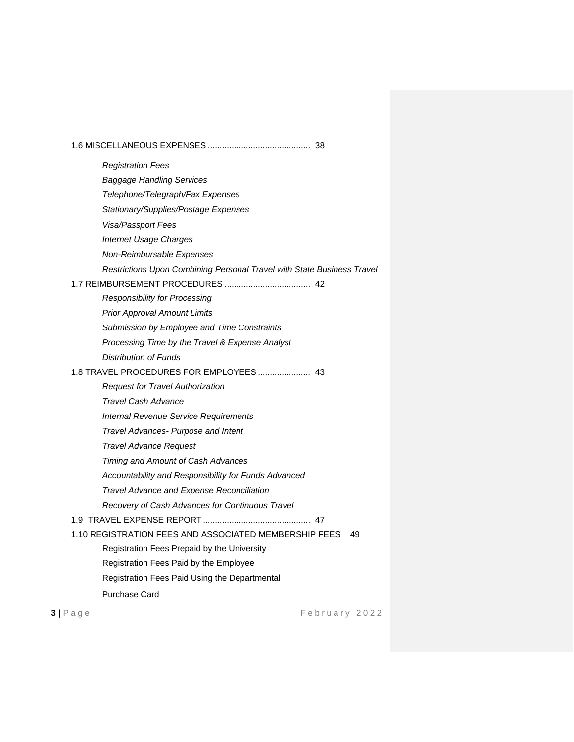| <b>Registration Fees</b>                                               |
|------------------------------------------------------------------------|
| <b>Baggage Handling Services</b>                                       |
| Telephone/Telegraph/Fax Expenses                                       |
| Stationary/Supplies/Postage Expenses                                   |
| Visa/Passport Fees                                                     |
| <b>Internet Usage Charges</b>                                          |
| Non-Reimbursable Expenses                                              |
| Restrictions Upon Combining Personal Travel with State Business Travel |
|                                                                        |
| <b>Responsibility for Processing</b>                                   |
| <b>Prior Approval Amount Limits</b>                                    |
| Submission by Employee and Time Constraints                            |
| Processing Time by the Travel & Expense Analyst                        |
| <b>Distribution of Funds</b>                                           |
|                                                                        |
| <b>Request for Travel Authorization</b>                                |
| Travel Cash Advance                                                    |
| Internal Revenue Service Requirements                                  |
| Travel Advances- Purpose and Intent                                    |
| <b>Travel Advance Request</b>                                          |
| Timing and Amount of Cash Advances                                     |
| Accountability and Responsibility for Funds Advanced                   |
| Travel Advance and Expense Reconciliation                              |
| Recovery of Cash Advances for Continuous Travel                        |
|                                                                        |
| 1.10 REGISTRATION FEES AND ASSOCIATED MEMBERSHIP FEES<br>49            |
| Registration Fees Prepaid by the University                            |
| Registration Fees Paid by the Employee                                 |
| Registration Fees Paid Using the Departmental                          |
| <b>Purchase Card</b>                                                   |
|                                                                        |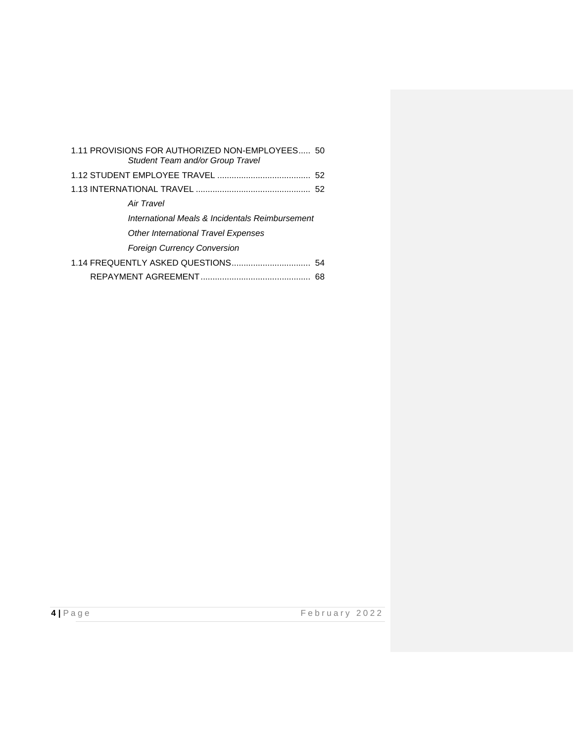| 1.11 PROVISIONS FOR AUTHORIZED NON-EMPLOYEES 50<br>Student Team and/or Group Travel |  |  |  |
|-------------------------------------------------------------------------------------|--|--|--|
|                                                                                     |  |  |  |
|                                                                                     |  |  |  |
| Air Travel                                                                          |  |  |  |
| International Meals & Incidentals Reimbursement                                     |  |  |  |
| <b>Other International Travel Expenses</b>                                          |  |  |  |
| <b>Foreign Currency Conversion</b>                                                  |  |  |  |
|                                                                                     |  |  |  |
| 68                                                                                  |  |  |  |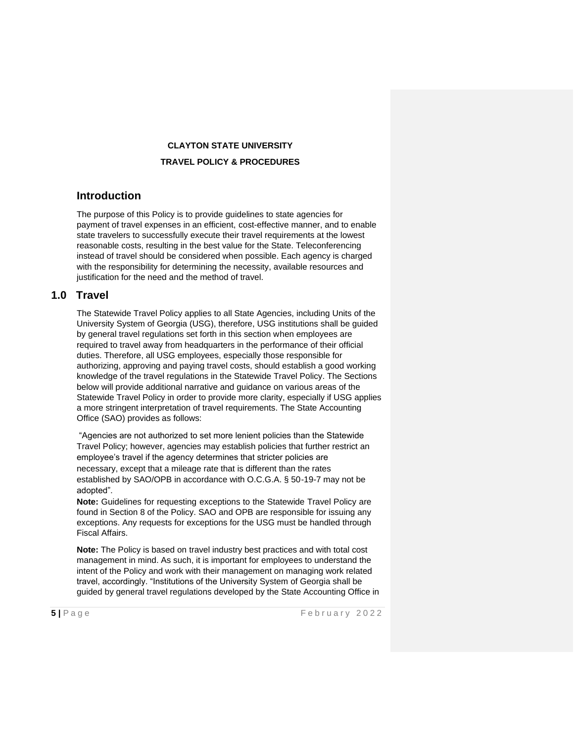#### **CLAYTON STATE UNIVERSITY**

#### **TRAVEL POLICY & PROCEDURES**

### **Introduction**

The purpose of this Policy is to provide guidelines to state agencies for payment of travel expenses in an efficient, cost-effective manner, and to enable state travelers to successfully execute their travel requirements at the lowest reasonable costs, resulting in the best value for the State. Teleconferencing instead of travel should be considered when possible. Each agency is charged with the responsibility for determining the necessity, available resources and justification for the need and the method of travel.

#### **1.0 Travel**

The Statewide Travel Policy applies to all State Agencies, including Units of the University System of Georgia (USG), therefore, USG institutions shall be guided by general travel regulations set forth in this section when employees are required to travel away from headquarters in the performance of their official duties. Therefore, all USG employees, especially those responsible for authorizing, approving and paying travel costs, should establish a good working knowledge of the travel regulations in the Statewide Travel Policy. The Sections below will provide additional narrative and guidance on various areas of the Statewide Travel Policy in order to provide more clarity, especially if USG applies a more stringent interpretation of travel requirements. The State Accounting Office (SAO) provides as follows:

"Agencies are not authorized to set more lenient policies than the Statewide Travel Policy; however, agencies may establish policies that further restrict an employee's travel if the agency determines that stricter policies are necessary, except that a mileage rate that is different than the rates established by SAO/OPB in accordance with O.C.G.A. § 50-19-7 may not be adopted".

**Note:** Guidelines for requesting exceptions to the Statewide Travel Policy are found in Section 8 of the Policy. SAO and OPB are responsible for issuing any exceptions. Any requests for exceptions for the USG must be handled through Fiscal Affairs.

**Note:** The Policy is based on travel industry best practices and with total cost management in mind. As such, it is important for employees to understand the intent of the Policy and work with their management on managing work related travel, accordingly. "Institutions of the University System of Georgia shall be guided by general travel regulations developed by the State Accounting Office in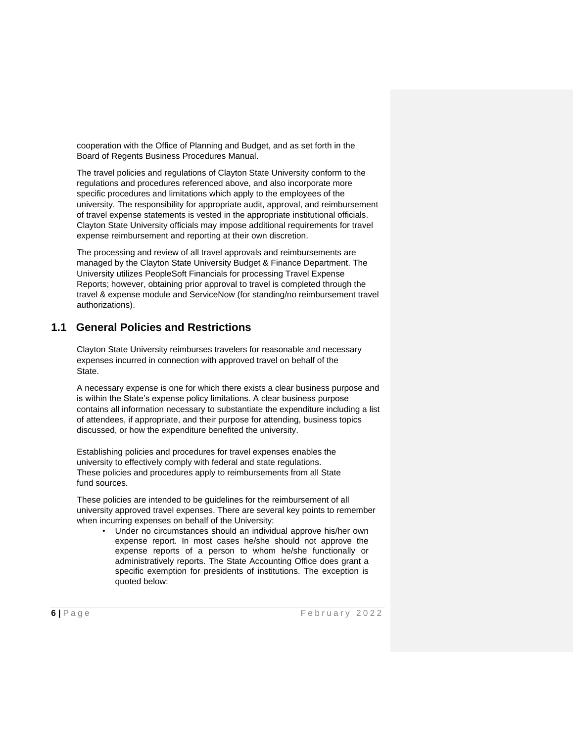cooperation with the Office of Planning and Budget, and as set forth in the Board of Regents Business Procedures Manual.

The travel policies and regulations of Clayton State University conform to the regulations and procedures referenced above, and also incorporate more specific procedures and limitations which apply to the employees of the university. The responsibility for appropriate audit, approval, and reimbursement of travel expense statements is vested in the appropriate institutional officials. Clayton State University officials may impose additional requirements for travel expense reimbursement and reporting at their own discretion.

The processing and review of all travel approvals and reimbursements are managed by the Clayton State University Budget & Finance Department. The University utilizes PeopleSoft Financials for processing Travel Expense Reports; however, obtaining prior approval to travel is completed through the travel & expense module and ServiceNow (for standing/no reimbursement travel authorizations).

# **1.1 General Policies and Restrictions**

Clayton State University reimburses travelers for reasonable and necessary expenses incurred in connection with approved travel on behalf of the State.

A necessary expense is one for which there exists a clear business purpose and is within the State's expense policy limitations. A clear business purpose contains all information necessary to substantiate the expenditure including a list of attendees, if appropriate, and their purpose for attending, business topics discussed, or how the expenditure benefited the university.

Establishing policies and procedures for travel expenses enables the university to effectively comply with federal and state regulations. These policies and procedures apply to reimbursements from all State fund sources.

These policies are intended to be guidelines for the reimbursement of all university approved travel expenses. There are several key points to remember when incurring expenses on behalf of the University:

• Under no circumstances should an individual approve his/her own expense report. In most cases he/she should not approve the expense reports of a person to whom he/she functionally or administratively reports. The State Accounting Office does grant a specific exemption for presidents of institutions. The exception is quoted below: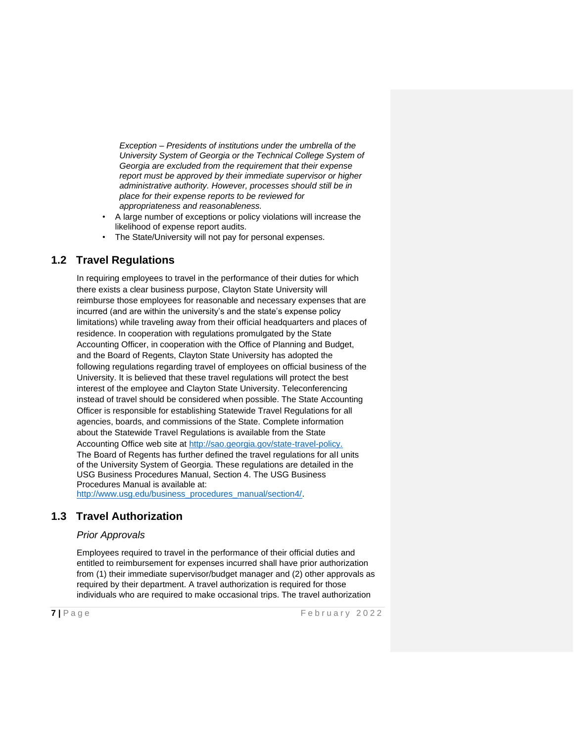*Exception – Presidents of institutions under the umbrella of the University System of Georgia or the Technical College System of Georgia are excluded from the requirement that their expense report must be approved by their immediate supervisor or higher administrative authority. However, processes should still be in place for their expense reports to be reviewed for appropriateness and reasonableness.*

- A large number of exceptions or policy violations will increase the likelihood of expense report audits.
- The State/University will not pay for personal expenses.

# **1.2 Travel Regulations**

In requiring employees to travel in the performance of their duties for which there exists a clear business purpose, Clayton State University will reimburse those employees for reasonable and necessary expenses that are incurred (and are within the university's and the state's expense policy limitations) while traveling away from their official headquarters and places of residence. In cooperation with regulations promulgated by the State Accounting Officer, in cooperation with the Office of Planning and Budget, and the Board of Regents, Clayton State University has adopted the following regulations regarding travel of employees on official business of the University. It is believed that these travel regulations will protect the best interest of the employee and Clayton State University. Teleconferencing instead of travel should be considered when possible. The State Accounting Officer is responsible for establishing Statewide Travel Regulations for all agencies, boards, and commissions of the State. Complete information about the Statewide Travel Regulations is available from the State Accounting Office web site at [http://sao.georgia.gov/state-travel-policy.](http://sao.georgia.gov/state-travel-policy) The Board of Regents has further defined the travel regulations for all units of the University System of Georgia. These regulations are detailed in the USG Business Procedures Manual, Section 4. The USG Business Procedures Manual is available at: [http://www.usg.edu/business\\_procedures\\_manual/section4/.](http://www.usg.edu/business_procedures_manual/section4/)

# **1.3 Travel Authorization**

#### *Prior Approvals*

Employees required to travel in the performance of their official duties and entitled to reimbursement for expenses incurred shall have prior authorization from (1) their immediate supervisor/budget manager and (2) other approvals as required by their department. A travel authorization is required for those individuals who are required to make occasional trips. The travel authorization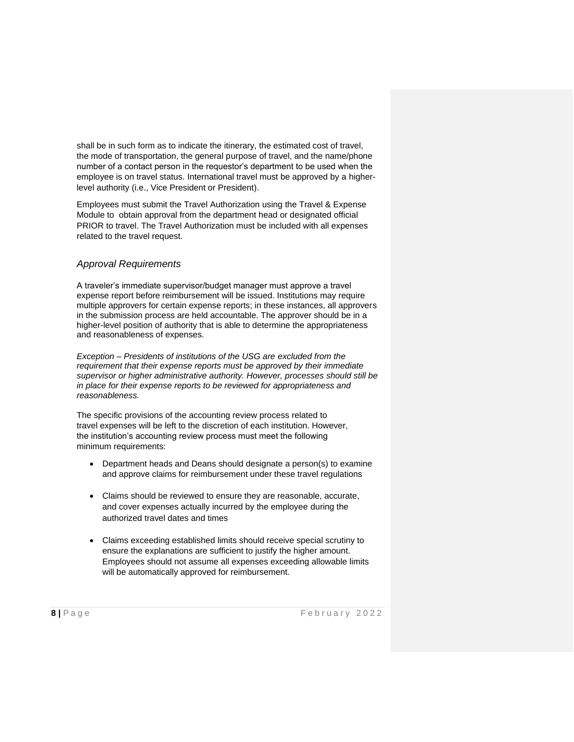shall be in such form as to indicate the itinerary, the estimated cost of travel, the mode of transportation, the general purpose of travel, and the name/phone number of a contact person in the requestor's department to be used when the employee is on travel status. International travel must be approved by a higherlevel authority (i.e., Vice President or President).

Employees must submit the Travel Authorization using the Travel & Expense Module to obtain approval from the department head or designated official PRIOR to travel. The Travel Authorization must be included with all expenses related to the travel request.

### *Approval Requirements*

A traveler's immediate supervisor/budget manager must approve a travel expense report before reimbursement will be issued. Institutions may require multiple approvers for certain expense reports; in these instances, all approvers in the submission process are held accountable. The approver should be in a higher-level position of authority that is able to determine the appropriateness and reasonableness of expenses.

*Exception – Presidents of institutions of the USG are excluded from the requirement that their expense reports must be approved by their immediate supervisor or higher administrative authority. However, processes should still be in place for their expense reports to be reviewed for appropriateness and reasonableness.*

The specific provisions of the accounting review process related to travel expenses will be left to the discretion of each institution. However, the institution's accounting review process must meet the following minimum requirements:

- Department heads and Deans should designate a person(s) to examine and approve claims for reimbursement under these travel regulations
- Claims should be reviewed to ensure they are reasonable, accurate, and cover expenses actually incurred by the employee during the authorized travel dates and times
- Claims exceeding established limits should receive special scrutiny to ensure the explanations are sufficient to justify the higher amount. Employees should not assume all expenses exceeding allowable limits will be automatically approved for reimbursement.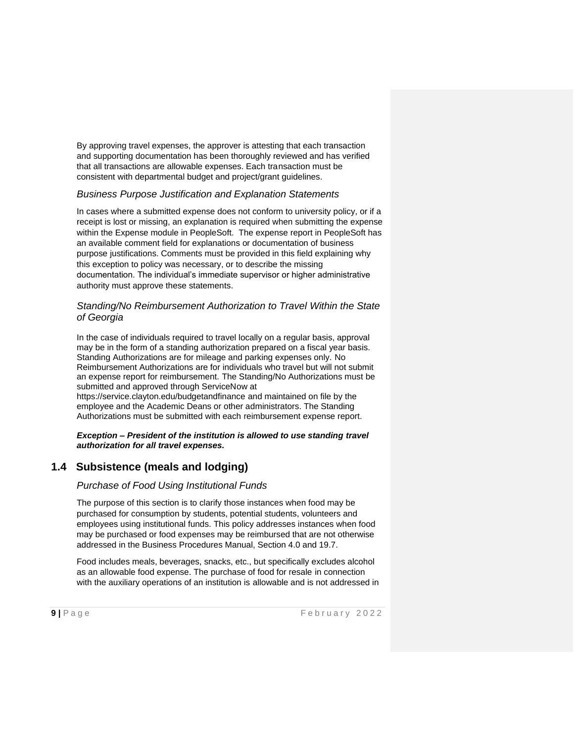By approving travel expenses, the approver is attesting that each transaction and supporting documentation has been thoroughly reviewed and has verified that all transactions are allowable expenses. Each transaction must be consistent with departmental budget and project/grant guidelines.

### *Business Purpose Justification and Explanation Statements*

In cases where a submitted expense does not conform to university policy, or if a receipt is lost or missing, an explanation is required when submitting the expense within the Expense module in PeopleSoft. The expense report in PeopleSoft has an available comment field for explanations or documentation of business purpose justifications. Comments must be provided in this field explaining why this exception to policy was necessary, or to describe the missing documentation. The individual's immediate supervisor or higher administrative authority must approve these statements.

### *Standing/No Reimbursement Authorization to Travel Within the State of Georgia*

In the case of individuals required to travel locally on a regular basis, approval may be in the form of a standing authorization prepared on a fiscal year basis. Standing Authorizations are for mileage and parking expenses only. No Reimbursement Authorizations are for individuals who travel but will not submit an expense report for reimbursement. The Standing/No Authorizations must be submitted and approved through ServiceNow at https://service.clayton.edu/budgetandfinance and maintained on file by the

employee and the Academic Deans or other administrators. The Standing Authorizations must be submitted with each reimbursement expense report.

*Exception – President of the institution is allowed to use standing travel authorization for all travel expenses.* 

# **1.4 Subsistence (meals and lodging)**

# *Purchase of Food Using Institutional Funds*

The purpose of this section is to clarify those instances when food may be purchased for consumption by students, potential students, volunteers and employees using institutional funds. This policy addresses instances when food may be purchased or food expenses may be reimbursed that are not otherwise addressed in the Business Procedures Manual, Section 4.0 and 19.7.

Food includes meals, beverages, snacks, etc., but specifically excludes alcohol as an allowable food expense. The purchase of food for resale in connection with the auxiliary operations of an institution is allowable and is not addressed in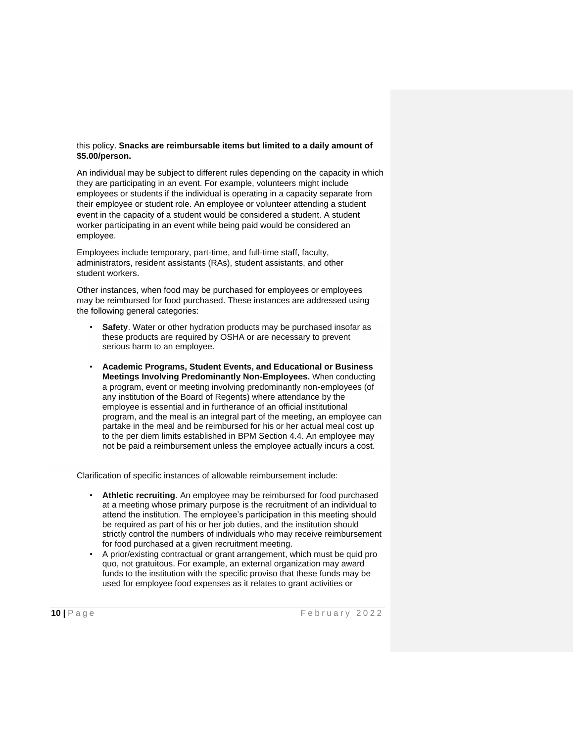#### this policy. **Snacks are reimbursable items but limited to a daily amount of \$5.00/person.**

An individual may be subject to different rules depending on the capacity in which they are participating in an event. For example, volunteers might include employees or students if the individual is operating in a capacity separate from their employee or student role. An employee or volunteer attending a student event in the capacity of a student would be considered a student. A student worker participating in an event while being paid would be considered an employee.

Employees include temporary, part-time, and full-time staff, faculty, administrators, resident assistants (RAs), student assistants, and other student workers.

Other instances, when food may be purchased for employees or employees may be reimbursed for food purchased. These instances are addressed using the following general categories:

- **Safety**. Water or other hydration products may be purchased insofar as these products are required by OSHA or are necessary to prevent serious harm to an employee.
- **Academic Programs, Student Events, and Educational or Business Meetings Involving Predominantly Non-Employees.** When conducting a program, event or meeting involving predominantly non-employees (of any institution of the Board of Regents) where attendance by the employee is essential and in furtherance of an official institutional program, and the meal is an integral part of the meeting, an employee can partake in the meal and be reimbursed for his or her actual meal cost up to the per diem limits established in BPM [Section 4.4.](http://www.usg.edu/business_procedures_manual/section4/C1170) An employee may not be paid a reimbursement unless the employee actually incurs a cost.

Clarification of specific instances of allowable reimbursement include:

- **Athletic recruiting**. An employee may be reimbursed for food purchased at a meeting whose primary purpose is the recruitment of an individual to attend the institution. The employee's participation in this meeting should be required as part of his or her job duties, and the institution should strictly control the numbers of individuals who may receive reimbursement for food purchased at a given recruitment meeting.
- A prior/existing contractual or grant arrangement, which must be quid pro quo, not gratuitous. For example, an external organization may award funds to the institution with the specific proviso that these funds may be used for employee food expenses as it relates to grant activities or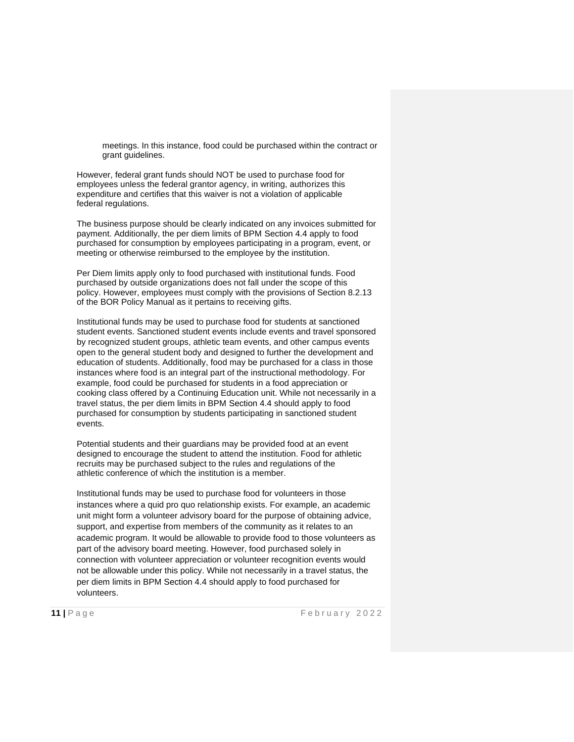meetings. In this instance, food could be purchased within the contract or grant guidelines.

However, federal grant funds should NOT be used to purchase food for employees unless the federal grantor agency, in writing, authorizes this expenditure and certifies that this waiver is not a violation of applicable federal regulations.

The business purpose should be clearly indicated on any invoices submitted for payment. Additionally, the per diem limits of BPM [Section 4.4](http://www.usg.edu/business_procedures_manual/section4/C1170) apply to food purchased for consumption by employees participating in a program, event, or meeting or otherwise reimbursed to the employee by the institution.

Per Diem limits apply only to food purchased with institutional funds. Food purchased by outside organizations does not fall under the scope of this policy. However, employees must comply with the provisions of Section 8.2.13 of the BOR Policy Manual as it pertains to receiving gifts.

Institutional funds may be used to purchase food for students at sanctioned student events. Sanctioned student events include events and travel sponsored by recognized student groups, athletic team events, and other campus events open to the general student body and designed to further the development and education of students. Additionally, food may be purchased for a class in those instances where food is an integral part of the instructional methodology. For example, food could be purchased for students in a food appreciation or cooking class offered by a Continuing Education unit. While not necessarily in a travel status, the per diem limits in BPM [Section 4.4](http://www.usg.edu/business_procedures_manual/section4/C1170) should apply to food purchased for consumption by students participating in sanctioned student events.

Potential students and their guardians may be provided food at an event designed to encourage the student to attend the institution. Food for athletic recruits may be purchased subject to the rules and regulations of the athletic conference of which the institution is a member.

Institutional funds may be used to purchase food for volunteers in those instances where a quid pro quo relationship exists. For example, an academic unit might form a volunteer advisory board for the purpose of obtaining advice, support, and expertise from members of the community as it relates to an academic program. It would be allowable to provide food to those volunteers as part of the advisory board meeting. However, food purchased solely in connection with volunteer appreciation or volunteer recognition events would not be allowable under this policy. While not necessarily in a travel status, the per diem limits in BPM [Section 4.4](http://www.usg.edu/business_procedures_manual/section4/C1170) should apply to food purchased for volunteers.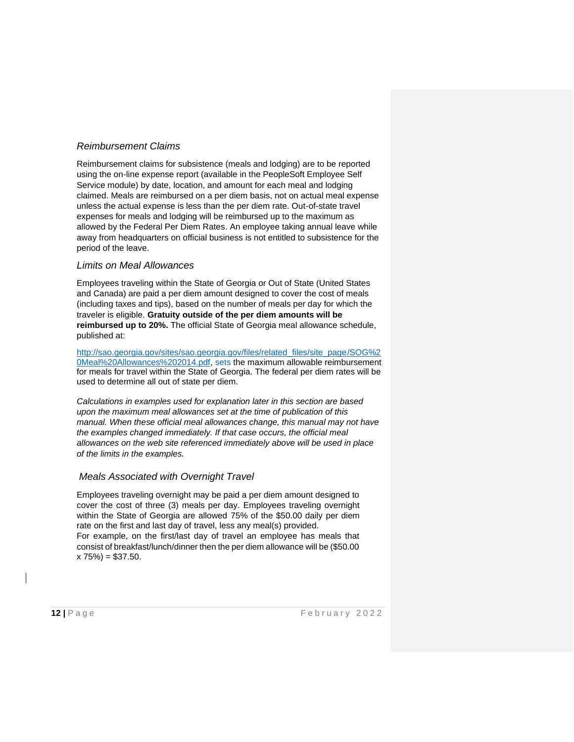### *Reimbursement Claims*

Reimbursement claims for subsistence (meals and lodging) are to be reported using the on-line expense report (available in the PeopleSoft Employee Self Service module) by date, location, and amount for each meal and lodging claimed. Meals are reimbursed on a per diem basis, not on actual meal expense unless the actual expense is less than the per diem rate. Out-of-state travel expenses for meals and lodging will be reimbursed up to the maximum as allowed by the Federal Per Diem Rates. An employee taking annual leave while away from headquarters on official business is not entitled to subsistence for the period of the leave.

#### *Limits on Meal Allowances*

Employees traveling within the State of Georgia or Out of State (United States and Canada) are paid a per diem amount designed to cover the cost of meals (including taxes and tips), based on the number of meals per day for which the traveler is eligible. **Gratuity outside of the per diem amounts will be reimbursed up to 20%.** The official State of Georgia meal allowance schedule, published at:

[http://sao.georgia.gov/sites/sao.georgia.gov/files/related\\_files/site\\_page/SOG%2](http://sao.georgia.gov/sites/sao.georgia.gov/files/related_files/site_page/SOG%20Meal%20Allowances%202014.pdf) [0Meal%20Allowances%202014.pdf, s](http://sao.georgia.gov/sites/sao.georgia.gov/files/related_files/site_page/SOG%20Meal%20Allowances%202014.pdf)ets the maximum allowable reimbursement for meals for travel within the State of Georgia. The federal per diem rates will be used to determine all out of state per diem.

*Calculations in examples used for explanation later in this section are based upon the maximum meal allowances set at the time of publication of this manual. When these official meal allowances change, this manual may not have the examples changed immediately. If that case occurs, the official meal allowances on the web site referenced immediately above will be used in place of the limits in the examples.*

# *Meals Associated with Overnight Travel*

Employees traveling overnight may be paid a per diem amount designed to cover the cost of three (3) meals per day. Employees traveling overnight within the State of Georgia are allowed 75% of the \$50.00 daily per diem rate on the first and last day of travel, less any meal(s) provided. For example, on the first/last day of travel an employee has meals that consist of breakfast/lunch/dinner then the per diem allowance will be (\$50.00  $x 75\%) = $37.50.$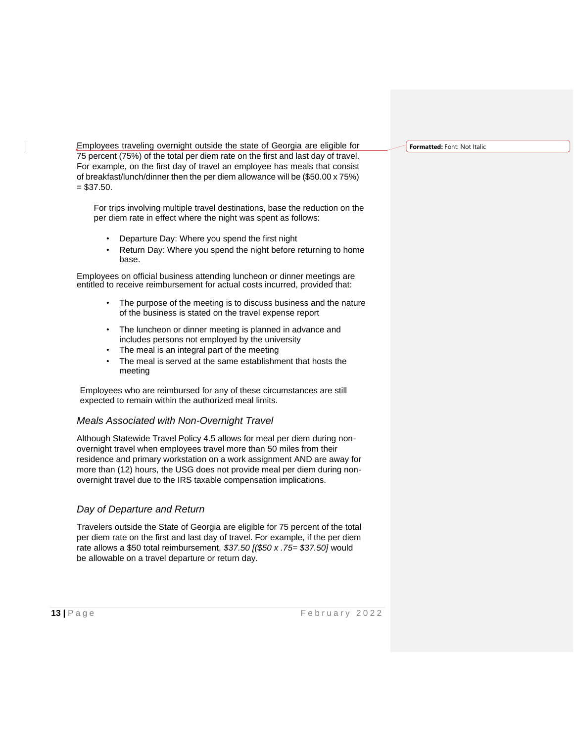Employees traveling overnight outside the state of Georgia are eligible for 75 percent (75%) of the total per diem rate on the first and last day of travel. For example, on the first day of travel an employee has meals that consist of breakfast/lunch/dinner then the per diem allowance will be (\$50.00 x 75%)  $= $37.50.$ 

For trips involving multiple travel destinations, base the reduction on the per diem rate in effect where the night was spent as follows:

- Departure Day: Where you spend the first night
- Return Day: Where you spend the night before returning to home base.

Employees on official business attending luncheon or dinner meetings are entitled to receive reimbursement for actual costs incurred, provided that:

- The purpose of the meeting is to discuss business and the nature of the business is stated on the travel expense report
- The luncheon or dinner meeting is planned in advance and includes persons not employed by the university
- The meal is an integral part of the meeting
- The meal is served at the same establishment that hosts the meeting

Employees who are reimbursed for any of these circumstances are still expected to remain within the authorized meal limits.

#### *Meals Associated with Non-Overnight Travel*

Although Statewide Travel Policy 4.5 allows for meal per diem during nonovernight travel when employees travel more than 50 miles from their residence and primary workstation on a work assignment AND are away for more than (12) hours, the USG does not provide meal per diem during nonovernight travel due to the IRS taxable compensation implications.

#### *Day of Departure and Return*

Travelers outside the State of Georgia are eligible for 75 percent of the total per diem rate on the first and last day of travel. For example, if the per diem rate allows a \$50 total reimbursement, *\$37.50 [(\$50 x .75= \$37.50]* would be allowable on a travel departure or return day.

**Formatted:** Font: Not Italic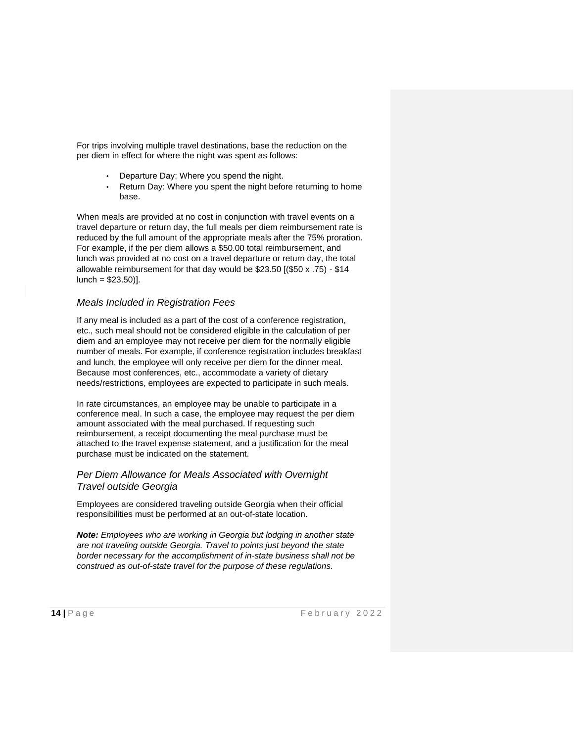For trips involving multiple travel destinations, base the reduction on the per diem in effect for where the night was spent as follows:

- Departure Day: Where you spend the night.
- Return Day: Where you spent the night before returning to home base.

When meals are provided at no cost in conjunction with travel events on a travel departure or return day, the full meals per diem reimbursement rate is reduced by the full amount of the appropriate meals after the 75% proration. For example, if the per diem allows a \$50.00 total reimbursement, and lunch was provided at no cost on a travel departure or return day, the total allowable reimbursement for that day would be \$23.50 [(\$50 x .75) - \$14  $lunch = $23.50$ ].

#### *Meals Included in Registration Fees*

If any meal is included as a part of the cost of a conference registration, etc., such meal should not be considered eligible in the calculation of per diem and an employee may not receive per diem for the normally eligible number of meals. For example, if conference registration includes breakfast and lunch, the employee will only receive per diem for the dinner meal. Because most conferences, etc., accommodate a variety of dietary needs/restrictions, employees are expected to participate in such meals.

In rate circumstances, an employee may be unable to participate in a conference meal. In such a case, the employee may request the per diem amount associated with the meal purchased. If requesting such reimbursement, a receipt documenting the meal purchase must be attached to the travel expense statement, and a justification for the meal purchase must be indicated on the statement.

### *Per Diem Allowance for Meals Associated with Overnight Travel outside Georgia*

Employees are considered traveling outside Georgia when their official responsibilities must be performed at an out-of-state location.

*Note: Employees who are working in Georgia but lodging in another state are not traveling outside Georgia. Travel to points just beyond the state border necessary for the accomplishment of in-state business shall not be construed as out-of-state travel for the purpose of these regulations.*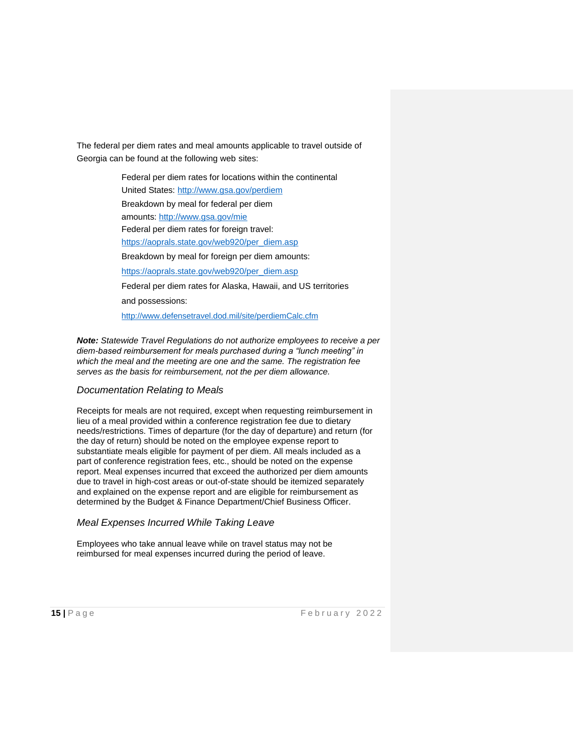The federal per diem rates and meal amounts applicable to travel outside of Georgia can be found at the following web sites:

> Federal per diem rates for locations within the continental United States:<http://www.gsa.gov/perdiem> Breakdown by meal for federal per diem amounts:<http://www.gsa.gov/mie> Federal per diem rates for foreign travel: [https://aoprals.state.gov/web920/per\\_diem.asp](https://aoprals.state.gov/web920/per_diem.asp) Breakdown by meal for foreign per diem amounts: [https://aoprals.state.gov/web920/per\\_diem.asp](https://aoprals.state.gov/web920/per_diem.asp) Federal per diem rates for Alaska, Hawaii, and US territories and possessions: <http://www.defensetravel.dod.mil/site/perdiemCalc.cfm>

*Note: Statewide Travel Regulations do not authorize employees to receive a per diem-based reimbursement for meals purchased during a "lunch meeting" in which the meal and the meeting are one and the same. The registration fee serves as the basis for reimbursement, not the per diem allowance.*

#### *Documentation Relating to Meals*

Receipts for meals are not required, except when requesting reimbursement in lieu of a meal provided within a conference registration fee due to dietary needs/restrictions. Times of departure (for the day of departure) and return (for the day of return) should be noted on the employee expense report to substantiate meals eligible for payment of per diem. All meals included as a part of conference registration fees, etc., should be noted on the expense report. Meal expenses incurred that exceed the authorized per diem amounts due to travel in high-cost areas or out-of-state should be itemized separately and explained on the expense report and are eligible for reimbursement as determined by the Budget & Finance Department/Chief Business Officer.

#### *Meal Expenses Incurred While Taking Leave*

Employees who take annual leave while on travel status may not be reimbursed for meal expenses incurred during the period of leave.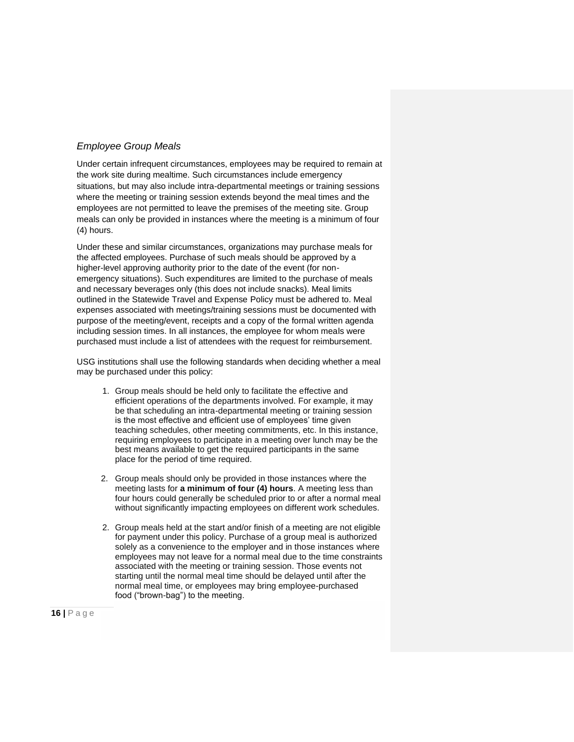### *Employee Group Meals*

Under certain infrequent circumstances, employees may be required to remain at the work site during mealtime. Such circumstances include emergency situations, but may also include intra-departmental meetings or training sessions where the meeting or training session extends beyond the meal times and the employees are not permitted to leave the premises of the meeting site. Group meals can only be provided in instances where the meeting is a minimum of four (4) hours.

Under these and similar circumstances, organizations may purchase meals for the affected employees. Purchase of such meals should be approved by a higher-level approving authority prior to the date of the event (for nonemergency situations). Such expenditures are limited to the purchase of meals and necessary beverages only (this does not include snacks). Meal limits outlined in the Statewide Travel and Expense Policy must be adhered to. Meal expenses associated with meetings/training sessions must be documented with purpose of the meeting/event, receipts and a copy of the formal written agenda including session times. In all instances, the employee for whom meals were purchased must include a list of attendees with the request for reimbursement.

USG institutions shall use the following standards when deciding whether a meal may be purchased under this policy:

- 1. Group meals should be held only to facilitate the effective and efficient operations of the departments involved. For example, it may be that scheduling an intra-departmental meeting or training session is the most effective and efficient use of employees' time given teaching schedules, other meeting commitments, etc. In this instance, requiring employees to participate in a meeting over lunch may be the best means available to get the required participants in the same place for the period of time required.
- 2. Group meals should only be provided in those instances where the meeting lasts for **a minimum of four (4) hours**. A meeting less than four hours could generally be scheduled prior to or after a normal meal without significantly impacting employees on different work schedules.
- 2. Group meals held at the start and/or finish of a meeting are not eligible for payment under this policy. Purchase of a group meal is authorized solely as a convenience to the employer and in those instances where employees may not leave for a normal meal due to the time constraints associated with the meeting or training session. Those events not starting until the normal meal time should be delayed until after the normal meal time, or employees may bring employee-purchased food ("brown-bag") to the meeting.

**16** | P a g e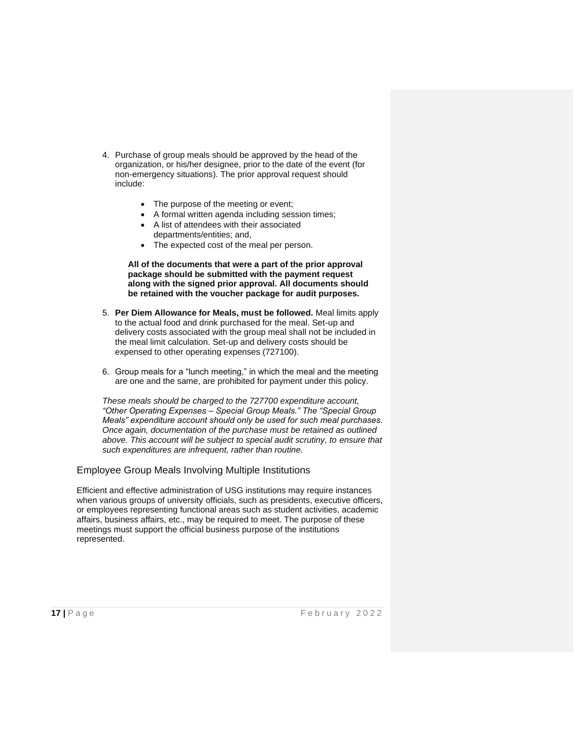- 4. Purchase of group meals should be approved by the head of the organization, or his/her designee, prior to the date of the event (for non-emergency situations). The prior approval request should include:
	- The purpose of the meeting or event;
	- A formal written agenda including session times;
	- A list of attendees with their associated departments/entities; and,
	- The expected cost of the meal per person.

**All of the documents that were a part of the prior approval package should be submitted with the payment request along with the signed prior approval. All documents should be retained with the voucher package for audit purposes.**

- 5. **Per Diem Allowance for Meals, must be followed.** Meal limits apply to the actual food and drink purchased for the meal. Set-up and delivery costs associated with the group meal shall not be included in the meal limit calculation. Set-up and delivery costs should be expensed to other operating expenses (727100).
- 6. Group meals for a "lunch meeting," in which the meal and the meeting are one and the same, are prohibited for payment under this policy.

*These meals should be charged to the 727700 expenditure account, "Other Operating Expenses – Special Group Meals." The "Special Group Meals" expenditure account should only be used for such meal purchases. Once again, documentation of the purchase must be retained as outlined above. This account will be subject to special audit scrutiny, to ensure that such expenditures are infrequent, rather than routine.*

Employee Group Meals Involving Multiple Institutions

Efficient and effective administration of USG institutions may require instances when various groups of university officials, such as presidents, executive officers, or employees representing functional areas such as student activities, academic affairs, business affairs, etc., may be required to meet. The purpose of these meetings must support the official business purpose of the institutions represented.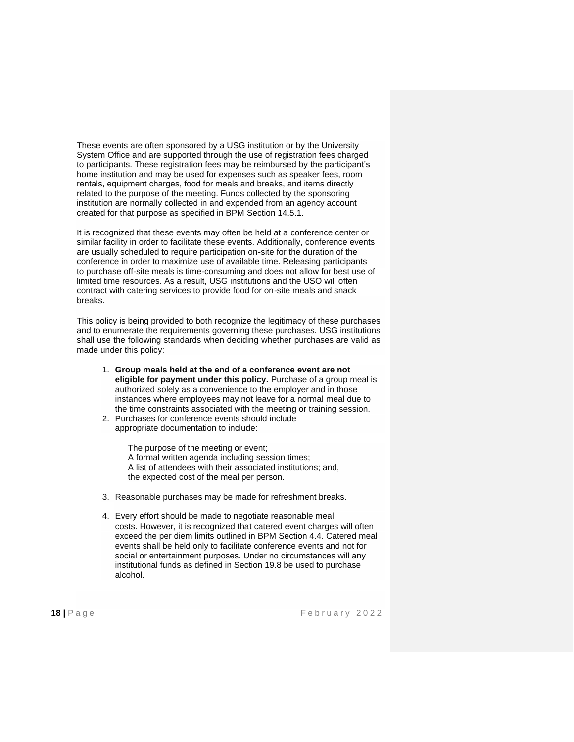These events are often sponsored by a USG institution or by the University System Office and are supported through the use of registration fees charged to participants. These registration fees may be reimbursed by the participant's home institution and may be used for expenses such as speaker fees, room rentals, equipment charges, food for meals and breaks, and items directly related to the purpose of the meeting. Funds collected by the sponsoring institution are normally collected in and expended from an agency account created for that purpose as specified in BPM [Section 14.5.1.](http://www.usg.edu/business_procedures_manual/section14/C1475)

It is recognized that these events may often be held at a conference center or similar facility in order to facilitate these events. Additionally, conference events are usually scheduled to require participation on-site for the duration of the conference in order to maximize use of available time. Releasing participants to purchase off-site meals is time-consuming and does not allow for best use of limited time resources. As a result, USG institutions and the USO will often contract with catering services to provide food for on-site meals and snack breaks.

This policy is being provided to both recognize the legitimacy of these purchases and to enumerate the requirements governing these purchases. USG institutions shall use the following standards when deciding whether purchases are valid as made under this policy:

- 1. **Group meals held at the end of a conference event are not eligible for payment under this policy.** Purchase of a group meal is authorized solely as a convenience to the employer and in those instances where employees may not leave for a normal meal due to the time constraints associated with the meeting or training session.
- 2. Purchases for conference events should include appropriate documentation to include:

The purpose of the meeting or event; A formal written agenda including session times; A list of attendees with their associated institutions; and, the expected cost of the meal per person.

- 3. Reasonable purchases may be made for refreshment breaks.
- 4. Every effort should be made to negotiate reasonable meal costs. However, it is recognized that catered event charges will often exceed the per diem limits outlined in BPM [Section 4.4. C](http://www.usg.edu/business_procedures_manual/section4/C1170)atered meal events shall be held only to facilitate conference events and not for social or entertainment purposes. Under no circumstances will any institutional funds as defined in Section 19.8 be used to purchase alcohol.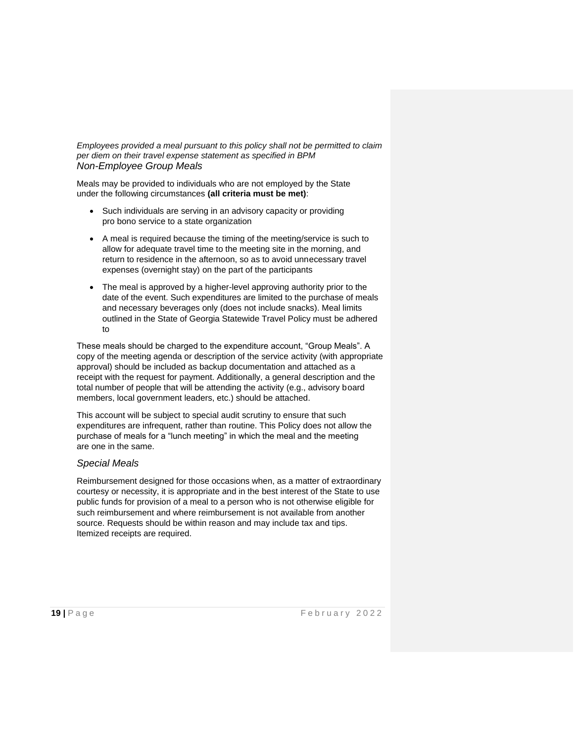*Employees provided a meal pursuant to this policy shall not be permitted to claim per diem on their travel expense statement as specified in BPM Non-Employee Group Meals*

Meals may be provided to individuals who are not employed by the State under the following circumstances **(all criteria must be met)**:

- Such individuals are serving in an advisory capacity or providing pro bono service to a state organization
- A meal is required because the timing of the meeting/service is such to allow for adequate travel time to the meeting site in the morning, and return to residence in the afternoon, so as to avoid unnecessary travel expenses (overnight stay) on the part of the participants
- The meal is approved by a higher-level approving authority prior to the date of the event. Such expenditures are limited to the purchase of meals and necessary beverages only (does not include snacks). Meal limits outlined in the State of Georgia Statewide Travel Policy must be adhered to

These meals should be charged to the expenditure account, "Group Meals". A copy of the meeting agenda or description of the service activity (with appropriate approval) should be included as backup documentation and attached as a receipt with the request for payment. Additionally, a general description and the total number of people that will be attending the activity (e.g., advisory board members, local government leaders, etc.) should be attached.

This account will be subject to special audit scrutiny to ensure that such expenditures are infrequent, rather than routine. This Policy does not allow the purchase of meals for a "lunch meeting" in which the meal and the meeting are one in the same.

#### *Special Meals*

Reimbursement designed for those occasions when, as a matter of extraordinary courtesy or necessity, it is appropriate and in the best interest of the State to use public funds for provision of a meal to a person who is not otherwise eligible for such reimbursement and where reimbursement is not available from another source. Requests should be within reason and may include tax and tips. Itemized receipts are required.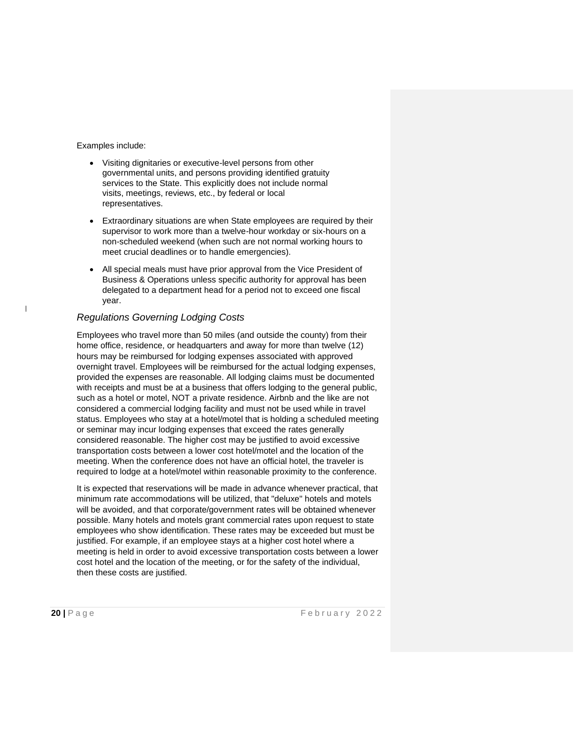Examples include:

- Visiting dignitaries or executive-level persons from other governmental units, and persons providing identified gratuity services to the State. This explicitly does not include normal visits, meetings, reviews, etc., by federal or local representatives.
- Extraordinary situations are when State employees are required by their supervisor to work more than a twelve-hour workday or six-hours on a non-scheduled weekend (when such are not normal working hours to meet crucial deadlines or to handle emergencies).
- All special meals must have prior approval from the Vice President of Business & Operations unless specific authority for approval has been delegated to a department head for a period not to exceed one fiscal year.

### *Regulations Governing Lodging Costs*

Employees who travel more than 50 miles (and outside the county) from their home office, residence, or headquarters and away for more than twelve (12) hours may be reimbursed for lodging expenses associated with approved overnight travel. Employees will be reimbursed for the actual lodging expenses, provided the expenses are reasonable. All lodging claims must be documented with receipts and must be at a business that offers lodging to the general public, such as a hotel or motel, NOT a private residence. Airbnb and the like are not considered a commercial lodging facility and must not be used while in travel status. Employees who stay at a hotel/motel that is holding a scheduled meeting or seminar may incur lodging expenses that exceed the rates generally considered reasonable. The higher cost may be justified to avoid excessive transportation costs between a lower cost hotel/motel and the location of the meeting. When the conference does not have an official hotel, the traveler is required to lodge at a hotel/motel within reasonable proximity to the conference.

It is expected that reservations will be made in advance whenever practical, that minimum rate accommodations will be utilized, that "deluxe" hotels and motels will be avoided, and that corporate/government rates will be obtained whenever possible. Many hotels and motels grant commercial rates upon request to state employees who show identification. These rates may be exceeded but must be justified. For example, if an employee stays at a higher cost hotel where a meeting is held in order to avoid excessive transportation costs between a lower cost hotel and the location of the meeting, or for the safety of the individual, then these costs are justified.

 $\overline{\phantom{a}}$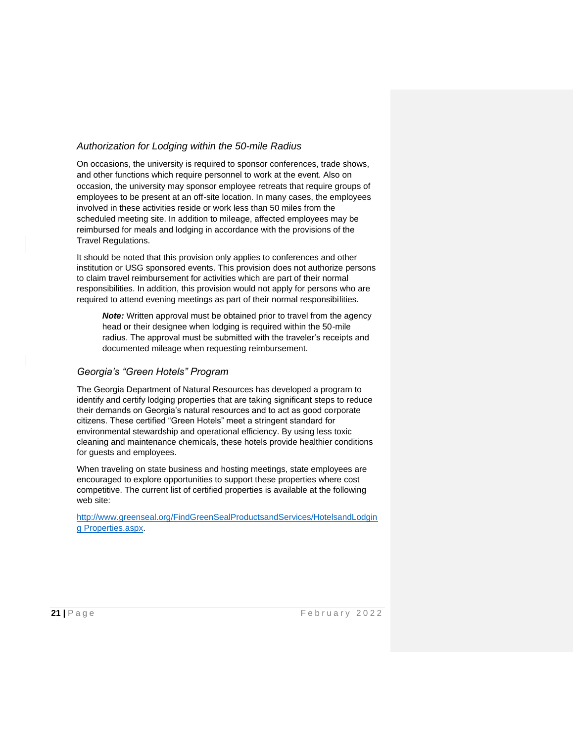## *Authorization for Lodging within the 50-mile Radius*

On occasions, the university is required to sponsor conferences, trade shows, and other functions which require personnel to work at the event. Also on occasion, the university may sponsor employee retreats that require groups of employees to be present at an off-site location. In many cases, the employees involved in these activities reside or work less than 50 miles from the scheduled meeting site. In addition to mileage, affected employees may be reimbursed for meals and lodging in accordance with the provisions of the Travel Regulations.

It should be noted that this provision only applies to conferences and other institution or USG sponsored events. This provision does not authorize persons to claim travel reimbursement for activities which are part of their normal responsibilities. In addition, this provision would not apply for persons who are required to attend evening meetings as part of their normal responsibilities.

*Note:* Written approval must be obtained prior to travel from the agency head or their designee when lodging is required within the 50-mile radius. The approval must be submitted with the traveler's receipts and documented mileage when requesting reimbursement.

#### *Georgia's "Green Hotels" Program*

The Georgia Department of Natural Resources has developed a program to identify and certify lodging properties that are taking significant steps to reduce their demands on Georgia's natural resources and to act as good corporate citizens. These certified "Green Hotels" meet a stringent standard for environmental stewardship and operational efficiency. By using less toxic cleaning and maintenance chemicals, these hotels provide healthier conditions for guests and employees.

When traveling on state business and hosting meetings, state employees are encouraged to explore opportunities to support these properties where cost competitive. The current list of certified properties is available at the following web site:

[http://www.greenseal.org/FindGreenSealProductsandServices/HotelsandLodgin](http://www.greenseal.org/FindGreenSealProductsandServices/HotelsandLodgingProperties.aspx) [g](http://www.greenseal.org/FindGreenSealProductsandServices/HotelsandLodgingProperties.aspx) [Properties.aspx.](http://www.greenseal.org/FindGreenSealProductsandServices/HotelsandLodgingProperties.aspx)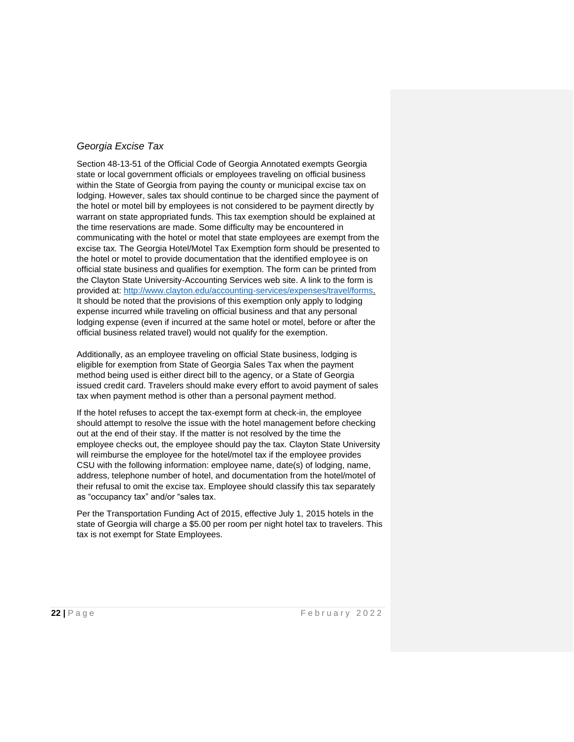# *Georgia Excise Tax*

Section 48-13-51 of the Official Code of Georgia Annotated exempts Georgia state or local government officials or employees traveling on official business within the State of Georgia from paying the county or municipal excise tax on lodging. However, sales tax should continue to be charged since the payment of the hotel or motel bill by employees is not considered to be payment directly by warrant on state appropriated funds. This tax exemption should be explained at the time reservations are made. Some difficulty may be encountered in communicating with the hotel or motel that state employees are exempt from the excise tax. The Georgia Hotel/Motel Tax Exemption form should be presented to the hotel or motel to provide documentation that the identified employee is on official state business and qualifies for exemption. The form can be printed from the Clayton State University-Accounting Services web site. A link to the form is provided at: [http://www.clayton.edu/accounting-services/expenses/travel/forms.](http://www.clayton.edu/accounting-services/expenses/travel/forms) It should be noted that the provisions of this exemption only apply to lodging expense incurred while traveling on official business and that any personal lodging expense (even if incurred at the same hotel or motel, before or after the official business related travel) would not qualify for the exemption.

Additionally, as an employee traveling on official State business, lodging is eligible for exemption from State of Georgia Sales Tax when the payment method being used is either direct bill to the agency, or a State of Georgia issued credit card. Travelers should make every effort to avoid payment of sales tax when payment method is other than a personal payment method.

If the hotel refuses to accept the tax-exempt form at check-in, the employee should attempt to resolve the issue with the hotel management before checking out at the end of their stay. If the matter is not resolved by the time the employee checks out, the employee should pay the tax. Clayton State University will reimburse the employee for the hotel/motel tax if the employee provides CSU with the following information: employee name, date(s) of lodging, name, address, telephone number of hotel, and documentation from the hotel/motel of their refusal to omit the excise tax. Employee should classify this tax separately as "occupancy tax" and/or "sales tax.

Per the Transportation Funding Act of 2015, effective July 1, 2015 hotels in the state of Georgia will charge a \$5.00 per room per night hotel tax to travelers. This tax is not exempt for State Employees.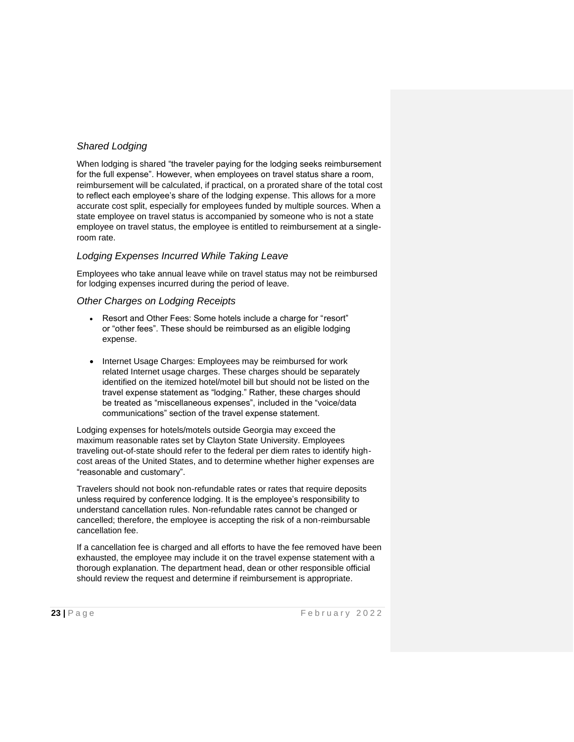# *Shared Lodging*

When lodging is shared "the traveler paying for the lodging seeks reimbursement for the full expense". However, when employees on travel status share a room, reimbursement will be calculated, if practical, on a prorated share of the total cost to reflect each employee's share of the lodging expense. This allows for a more accurate cost split, especially for employees funded by multiple sources. When a state employee on travel status is accompanied by someone who is not a state employee on travel status, the employee is entitled to reimbursement at a singleroom rate.

### *Lodging Expenses Incurred While Taking Leave*

Employees who take annual leave while on travel status may not be reimbursed for lodging expenses incurred during the period of leave.

#### *Other Charges on Lodging Receipts*

- Resort and Other Fees: Some hotels include a charge for "resort" or "other fees". These should be reimbursed as an eligible lodging expense.
- Internet Usage Charges: Employees may be reimbursed for work related Internet usage charges. These charges should be separately identified on the itemized hotel/motel bill but should not be listed on the travel expense statement as "lodging." Rather, these charges should be treated as "miscellaneous expenses", included in the "voice/data communications" section of the travel expense statement.

Lodging expenses for hotels/motels outside Georgia may exceed the maximum reasonable rates set by Clayton State University. Employees traveling out-of-state should refer to the federal per diem rates to identify highcost areas of the United States, and to determine whether higher expenses are "reasonable and customary".

Travelers should not book non-refundable rates or rates that require deposits unless required by conference lodging. It is the employee's responsibility to understand cancellation rules. Non-refundable rates cannot be changed or cancelled; therefore, the employee is accepting the risk of a non-reimbursable cancellation fee.

If a cancellation fee is charged and all efforts to have the fee removed have been exhausted, the employee may include it on the travel expense statement with a thorough explanation. The department head, dean or other responsible official should review the request and determine if reimbursement is appropriate.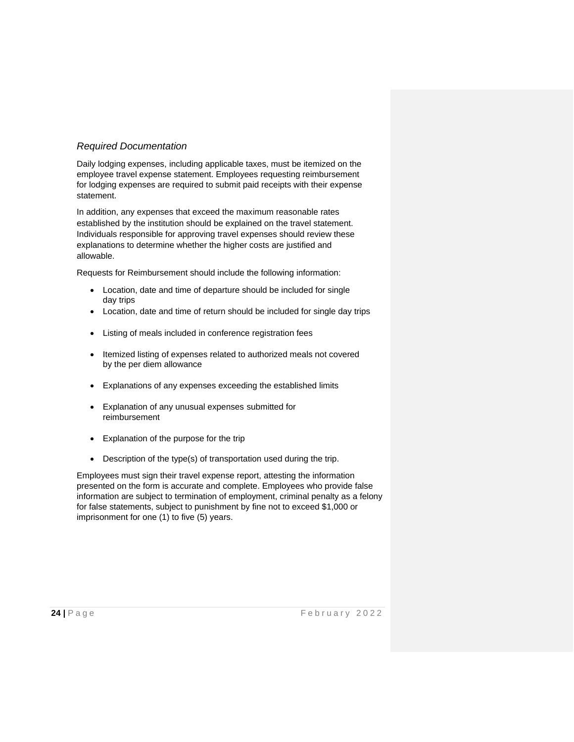# *Required Documentation*

Daily lodging expenses, including applicable taxes, must be itemized on the employee travel expense statement. Employees requesting reimbursement for lodging expenses are required to submit paid receipts with their expense statement.

In addition, any expenses that exceed the maximum reasonable rates established by the institution should be explained on the travel statement. Individuals responsible for approving travel expenses should review these explanations to determine whether the higher costs are justified and allowable.

Requests for Reimbursement should include the following information:

- Location, date and time of departure should be included for single day trips
- Location, date and time of return should be included for single day trips
- Listing of meals included in conference registration fees
- Itemized listing of expenses related to authorized meals not covered by the per diem allowance
- Explanations of any expenses exceeding the established limits
- Explanation of any unusual expenses submitted for reimbursement
- Explanation of the purpose for the trip
- Description of the type(s) of transportation used during the trip.

Employees must sign their travel expense report, attesting the information presented on the form is accurate and complete. Employees who provide false information are subject to termination of employment, criminal penalty as a felony for false statements, subject to punishment by fine not to exceed \$1,000 or imprisonment for one (1) to five (5) years.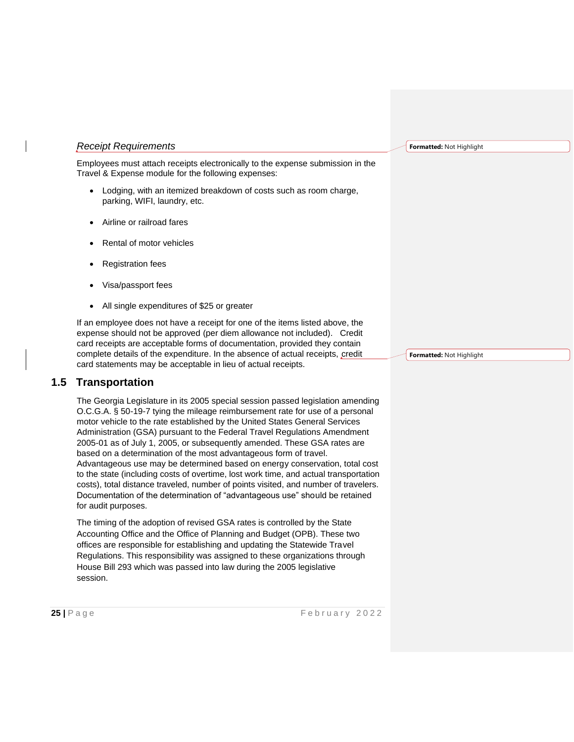#### *Receipt Requirements*

Employees must attach receipts electronically to the expense submission in the Travel & Expense module for the following expenses:

- Lodging, with an itemized breakdown of costs such as room charge, parking, WIFI, laundry, etc.
- Airline or railroad fares
- Rental of motor vehicles
- Registration fees
- Visa/passport fees
- All single expenditures of \$25 or greater

If an employee does not have a receipt for one of the items listed above, the expense should not be approved (per diem allowance not included). Credit card receipts are acceptable forms of documentation, provided they contain complete details of the expenditure. In the absence of actual receipts, credit card statements may be acceptable in lieu of actual receipts.

# **1.5 Transportation**

The Georgia Legislature in its 2005 special session passed legislation amending O.C.G.A. § 50-19-7 tying the mileage reimbursement rate for use of a personal motor vehicle to the rate established by the United States General Services Administration (GSA) pursuant to the Federal Travel Regulations Amendment 2005-01 as of July 1, 2005, or subsequently amended. These GSA rates are based on a determination of the most advantageous form of travel. Advantageous use may be determined based on energy conservation, total cost to the state (including costs of overtime, lost work time, and actual transportation costs), total distance traveled, number of points visited, and number of travelers. Documentation of the determination of "advantageous use" should be retained for audit purposes.

The timing of the adoption of revised GSA rates is controlled by the State Accounting Office and the Office of Planning and Budget (OPB). These two offices are responsible for establishing and updating the Statewide Travel Regulations. This responsibility was assigned to these organizations through House Bill 293 which was passed into law during the 2005 legislative session.

**Formatted:** Not Highlight

**Formatted:** Not Highlight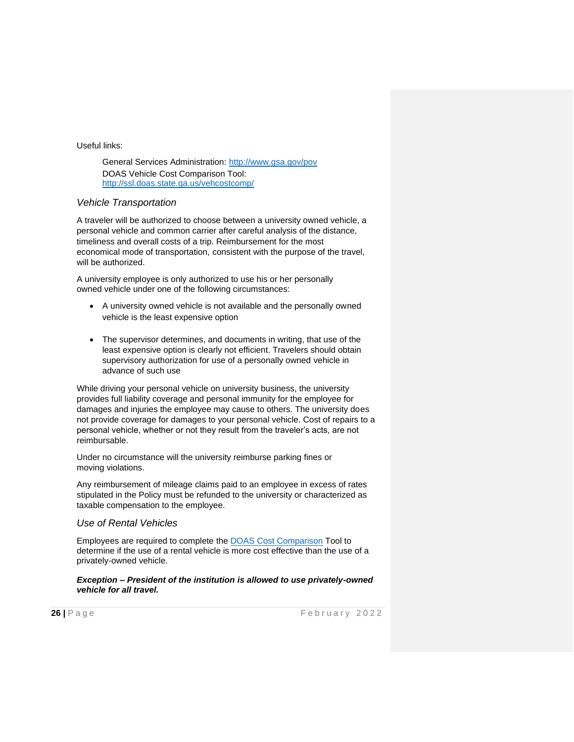Useful links:

General Services Administration:<http://www.gsa.gov/pov> DOAS Vehicle Cost Comparison Tool: <http://ssl.doas.state.ga.us/vehcostcomp/>

#### *Vehicle Transportation*

A traveler will be authorized to choose between a university owned vehicle, a personal vehicle and common carrier after careful analysis of the distance, timeliness and overall costs of a trip. Reimbursement for the most economical mode of transportation, consistent with the purpose of the travel, will be authorized.

A university employee is only authorized to use his or her personally owned vehicle under one of the following circumstances:

- A university owned vehicle is not available and the personally owned vehicle is the least expensive option
- The supervisor determines, and documents in writing, that use of the least expensive option is clearly not efficient. Travelers should obtain supervisory authorization for use of a personally owned vehicle in advance of such use

While driving your personal vehicle on university business, the university provides full liability coverage and personal immunity for the employee for damages and injuries the employee may cause to others. The university does not provide coverage for damages to your personal vehicle. Cost of repairs to a personal vehicle, whether or not they result from the traveler's acts, are not reimbursable.

Under no circumstance will the university reimburse parking fines or moving violations.

Any reimbursement of mileage claims paid to an employee in excess of rates stipulated in the Policy must be refunded to the university or characterized as taxable compensation to the employee.

#### *Use of Rental Vehicles*

Employees are required to complete the DOAS Cost [Comparison](http://ssl.doas.state.ga.us/vehcostcomp/) Tool to determine if the use of a rental vehicle is more cost effective than the use of a privately-owned vehicle.

#### *Exception – President of the institution is allowed to use privately-owned vehicle for all travel.*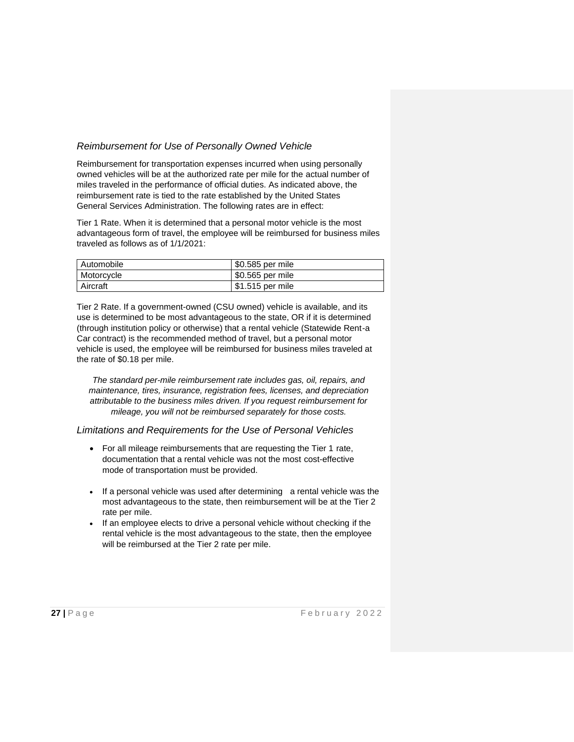## *Reimbursement for Use of Personally Owned Vehicle*

Reimbursement for transportation expenses incurred when using personally owned vehicles will be at the authorized rate per mile for the actual number of miles traveled in the performance of official duties. As indicated above, the reimbursement rate is tied to the rate established by the United States General Services Administration. The following rates are in effect:

Tier 1 Rate. When it is determined that a personal motor vehicle is the most advantageous form of travel, the employee will be reimbursed for business miles traveled as follows as of 1/1/2021:

| Automobile | 50.585 per mile ! |
|------------|-------------------|
| Motorcycle | \$0.565 per mile  |
| Aircraft   | $$1.515$ per mile |

Tier 2 Rate. If a government-owned (CSU owned) vehicle is available, and its use is determined to be most advantageous to the state, OR if it is determined (through institution policy or otherwise) that a rental vehicle (Statewide Rent-a Car contract) is the recommended method of travel, but a personal motor vehicle is used, the employee will be reimbursed for business miles traveled at the rate of \$0.18 per mile.

*The standard per-mile reimbursement rate includes gas, oil, repairs, and maintenance, tires, insurance, registration fees, licenses, and depreciation attributable to the business miles driven. If you request reimbursement for mileage, you will not be reimbursed separately for those costs.*

*Limitations and Requirements for the Use of Personal Vehicles*

- For all mileage reimbursements that are requesting the Tier 1 rate, documentation that a rental vehicle was not the most cost-effective mode of transportation must be provided.
- If a personal vehicle was used after determining a rental vehicle was the most advantageous to the state, then reimbursement will be at the Tier 2 rate per mile.
- If an employee elects to drive a personal vehicle without checking if the rental vehicle is the most advantageous to the state, then the employee will be reimbursed at the Tier 2 rate per mile.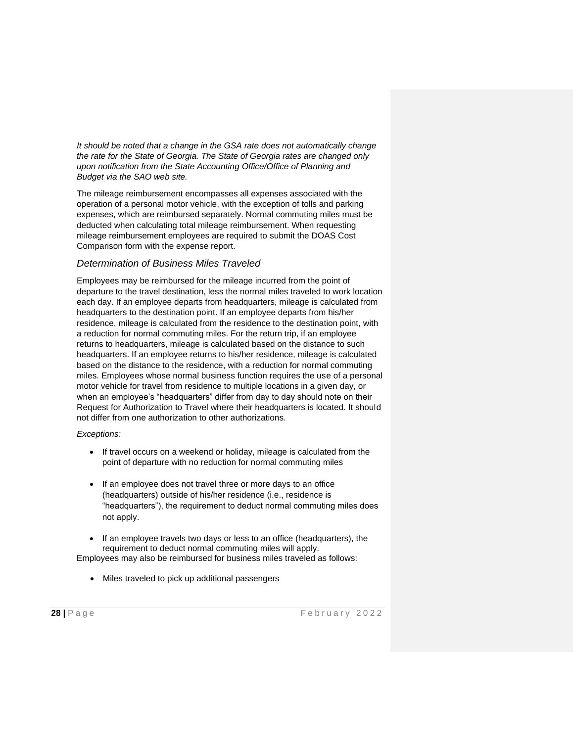*It should be noted that a change in the GSA rate does not automatically change the rate for the State of Georgia. The State of Georgia rates are changed only upon notification from the State Accounting Office/Office of Planning and Budget via the SAO web site.*

The mileage reimbursement encompasses all expenses associated with the operation of a personal motor vehicle, with the exception of tolls and parking expenses, which are reimbursed separately. Normal commuting miles must be deducted when calculating total mileage reimbursement. When requesting mileage reimbursement employees are required to submit the DOAS Cost Comparison form with the expense report.

### *Determination of Business Miles Traveled*

Employees may be reimbursed for the mileage incurred from the point of departure to the travel destination, less the normal miles traveled to work location each day. If an employee departs from headquarters, mileage is calculated from headquarters to the destination point. If an employee departs from his/her residence, mileage is calculated from the residence to the destination point, with a reduction for normal commuting miles. For the return trip, if an employee returns to headquarters, mileage is calculated based on the distance to such headquarters. If an employee returns to his/her residence, mileage is calculated based on the distance to the residence, with a reduction for normal commuting miles. Employees whose normal business function requires the use of a personal motor vehicle for travel from residence to multiple locations in a given day, or when an employee's "headquarters" differ from day to day should note on their Request for Authorization to Travel where their headquarters is located. It should not differ from one authorization to other authorizations.

*Exceptions:*

- If travel occurs on a weekend or holiday, mileage is calculated from the point of departure with no reduction for normal commuting miles
- If an employee does not travel three or more days to an office (headquarters) outside of his/her residence (i.e., residence is "headquarters"), the requirement to deduct normal commuting miles does not apply.
- If an employee travels two days or less to an office (headquarters), the requirement to deduct normal commuting miles will apply. Employees may also be reimbursed for business miles traveled as follows:
	- Miles traveled to pick up additional passengers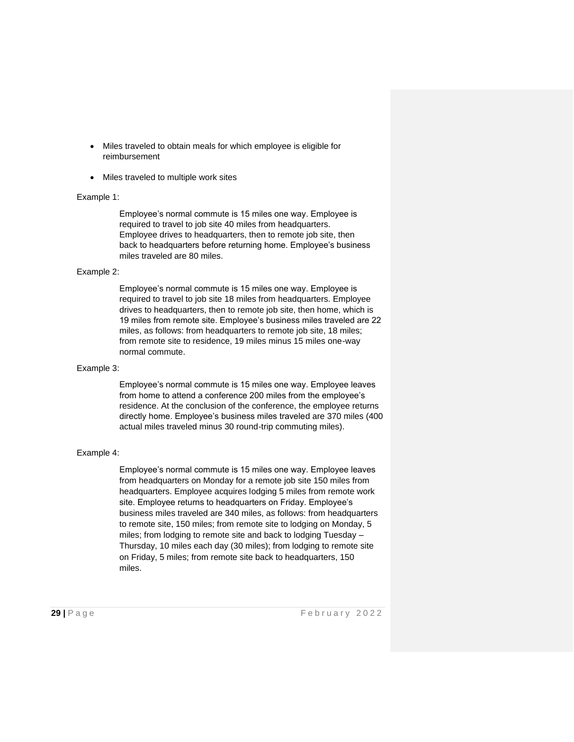- Miles traveled to obtain meals for which employee is eligible for reimbursement
- Miles traveled to multiple work sites

#### Example 1:

Employee's normal commute is 15 miles one way. Employee is required to travel to job site 40 miles from headquarters. Employee drives to headquarters, then to remote job site, then back to headquarters before returning home. Employee's business miles traveled are 80 miles.

#### Example 2:

Employee's normal commute is 15 miles one way. Employee is required to travel to job site 18 miles from headquarters. Employee drives to headquarters, then to remote job site, then home, which is 19 miles from remote site. Employee's business miles traveled are 22 miles, as follows: from headquarters to remote job site, 18 miles; from remote site to residence, 19 miles minus 15 miles one-way normal commute.

#### Example 3:

Employee's normal commute is 15 miles one way. Employee leaves from home to attend a conference 200 miles from the employee's residence. At the conclusion of the conference, the employee returns directly home. Employee's business miles traveled are 370 miles (400 actual miles traveled minus 30 round-trip commuting miles).

#### Example 4:

Employee's normal commute is 15 miles one way. Employee leaves from headquarters on Monday for a remote job site 150 miles from headquarters. Employee acquires lodging 5 miles from remote work site. Employee returns to headquarters on Friday. Employee's business miles traveled are 340 miles, as follows: from headquarters to remote site, 150 miles; from remote site to lodging on Monday, 5 miles; from lodging to remote site and back to lodging Tuesday – Thursday, 10 miles each day (30 miles); from lodging to remote site on Friday, 5 miles; from remote site back to headquarters, 150 miles.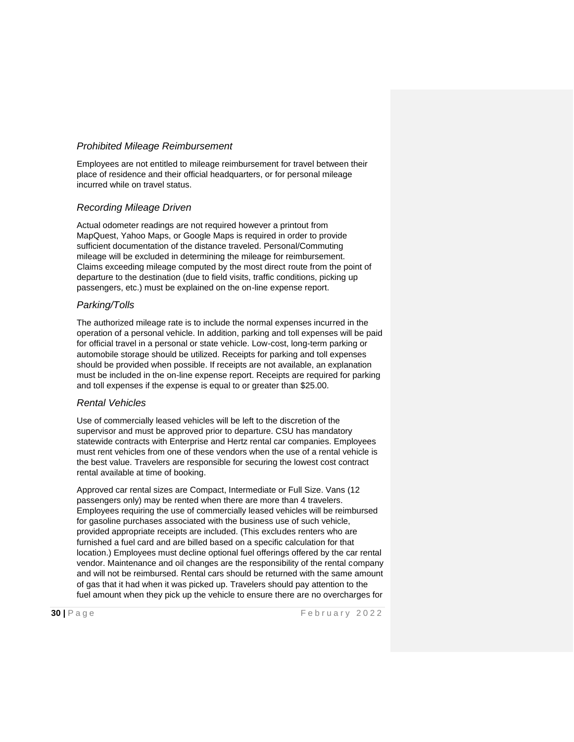#### *Prohibited Mileage Reimbursement*

Employees are not entitled to mileage reimbursement for travel between their place of residence and their official headquarters, or for personal mileage incurred while on travel status.

#### *Recording Mileage Driven*

Actual odometer readings are not required however a printout from MapQuest, Yahoo Maps, or Google Maps is required in order to provide sufficient documentation of the distance traveled. Personal/Commuting mileage will be excluded in determining the mileage for reimbursement. Claims exceeding mileage computed by the most direct route from the point of departure to the destination (due to field visits, traffic conditions, picking up passengers, etc.) must be explained on the on-line expense report.

#### *Parking/Tolls*

The authorized mileage rate is to include the normal expenses incurred in the operation of a personal vehicle. In addition, parking and toll expenses will be paid for official travel in a personal or state vehicle. Low-cost, long-term parking or automobile storage should be utilized. Receipts for parking and toll expenses should be provided when possible. If receipts are not available, an explanation must be included in the on-line expense report. Receipts are required for parking and toll expenses if the expense is equal to or greater than \$25.00.

#### *Rental Vehicles*

Use of commercially leased vehicles will be left to the discretion of the supervisor and must be approved prior to departure. CSU has mandatory statewide contracts with Enterprise and Hertz rental car companies. Employees must rent vehicles from one of these vendors when the use of a rental vehicle is the best value. Travelers are responsible for securing the lowest cost contract rental available at time of booking.

Approved car rental sizes are Compact, Intermediate or Full Size. Vans (12 passengers only) may be rented when there are more than 4 travelers. Employees requiring the use of commercially leased vehicles will be reimbursed for gasoline purchases associated with the business use of such vehicle, provided appropriate receipts are included. (This excludes renters who are furnished a fuel card and are billed based on a specific calculation for that location.) Employees must decline optional fuel offerings offered by the car rental vendor. Maintenance and oil changes are the responsibility of the rental company and will not be reimbursed. Rental cars should be returned with the same amount of gas that it had when it was picked up. Travelers should pay attention to the fuel amount when they pick up the vehicle to ensure there are no overcharges for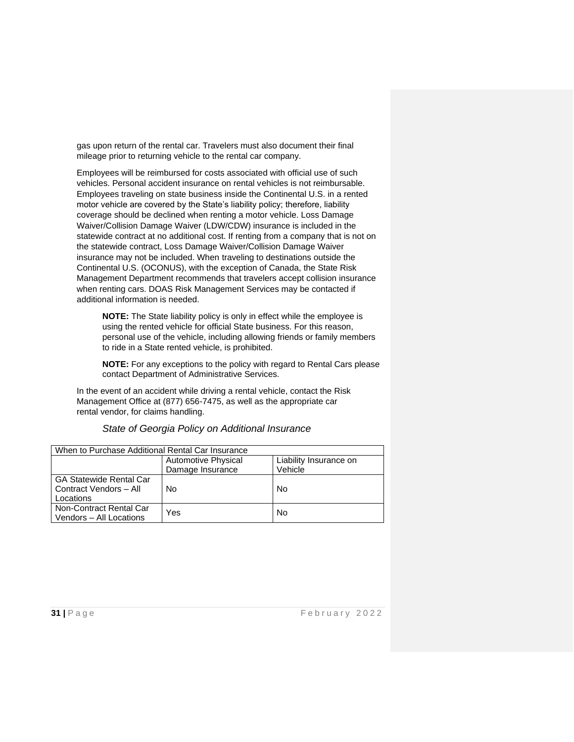gas upon return of the rental car. Travelers must also document their final mileage prior to returning vehicle to the rental car company.

Employees will be reimbursed for costs associated with official use of such vehicles. Personal accident insurance on rental vehicles is not reimbursable. Employees traveling on state business inside the Continental U.S. in a rented motor vehicle are covered by the State's liability policy; therefore, liability coverage should be declined when renting a motor vehicle. Loss Damage Waiver/Collision Damage Waiver (LDW/CDW) insurance is included in the statewide contract at no additional cost. If renting from a company that is not on the statewide contract, Loss Damage Waiver/Collision Damage Waiver insurance may not be included. When traveling to destinations outside the Continental U.S. (OCONUS), with the exception of Canada, the State Risk Management Department recommends that travelers accept collision insurance when renting cars. DOAS Risk Management Services may be contacted if additional information is needed.

**NOTE:** The State liability policy is only in effect while the employee is using the rented vehicle for official State business. For this reason, personal use of the vehicle, including allowing friends or family members to ride in a State rented vehicle, is prohibited.

**NOTE:** For any exceptions to the policy with regard to Rental Cars please contact Department of Administrative Services.

In the event of an accident while driving a rental vehicle, contact the Risk Management Office at (877) 656-7475, as well as the appropriate car rental vendor, for claims handling.

| When to Purchase Additional Rental Car Insurance                      |                     |                        |  |  |
|-----------------------------------------------------------------------|---------------------|------------------------|--|--|
|                                                                       | Automotive Physical | Liability Insurance on |  |  |
|                                                                       | Damage Insurance    | Vehicle                |  |  |
| <b>GA Statewide Rental Car</b><br>Contract Vendors - All<br>Locations | No                  | No.                    |  |  |
| Non-Contract Rental Car<br>Vendors - All Locations                    | Yes                 | No.                    |  |  |

*State of Georgia Policy on Additional Insurance*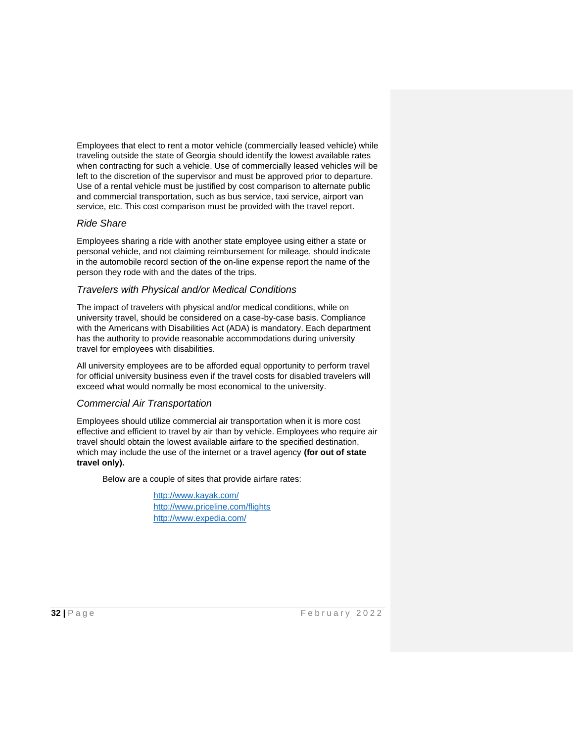Employees that elect to rent a motor vehicle (commercially leased vehicle) while traveling outside the state of Georgia should identify the lowest available rates when contracting for such a vehicle. Use of commercially leased vehicles will be left to the discretion of the supervisor and must be approved prior to departure. Use of a rental vehicle must be justified by cost comparison to alternate public and commercial transportation, such as bus service, taxi service, airport van service, etc. This cost comparison must be provided with the travel report.

#### *Ride Share*

Employees sharing a ride with another state employee using either a state or personal vehicle, and not claiming reimbursement for mileage, should indicate in the automobile record section of the on-line expense report the name of the person they rode with and the dates of the trips.

#### *Travelers with Physical and/or Medical Conditions*

The impact of travelers with physical and/or medical conditions, while on university travel, should be considered on a case-by-case basis. Compliance with the Americans with Disabilities Act (ADA) is mandatory. Each department has the authority to provide reasonable accommodations during university travel for employees with disabilities.

All university employees are to be afforded equal opportunity to perform travel for official university business even if the travel costs for disabled travelers will exceed what would normally be most economical to the university.

#### *Commercial Air Transportation*

Employees should utilize commercial air transportation when it is more cost effective and efficient to travel by air than by vehicle. Employees who require air travel should obtain the lowest available airfare to the specified destination, which may include the use of the internet or a travel agency **(for out of state travel only).**

Below are a couple of sites that provide airfare rates:

<http://www.kayak.com/> http://www.priceline.com/flights <http://www.expedia.com/>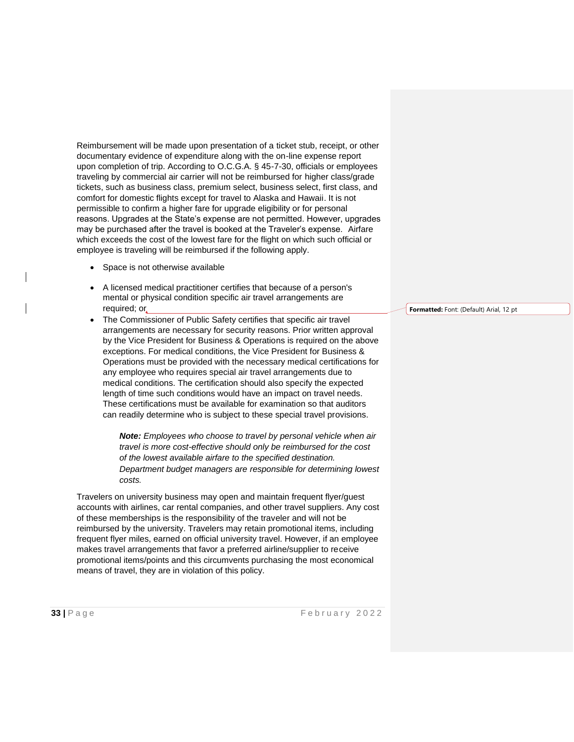Reimbursement will be made upon presentation of a ticket stub, receipt, or other documentary evidence of expenditure along with the on-line expense report upon completion of trip. According to O.C.G.A. § 45-7-30, officials or employees traveling by commercial air carrier will not be reimbursed for higher class/grade tickets, such as business class, premium select, business select, first class, and comfort for domestic flights except for travel to Alaska and Hawaii. It is not permissible to confirm a higher fare for upgrade eligibility or for personal reasons. Upgrades at the State's expense are not permitted. However, upgrades may be purchased after the travel is booked at the Traveler's expense. Airfare which exceeds the cost of the lowest fare for the flight on which such official or employee is traveling will be reimbursed if the following apply.

- Space is not otherwise available
- A licensed medical practitioner certifies that because of a person's mental or physical condition specific air travel arrangements are required; or
- The Commissioner of Public Safety certifies that specific air travel arrangements are necessary for security reasons. Prior written approval by the Vice President for Business & Operations is required on the above exceptions. For medical conditions, the Vice President for Business & Operations must be provided with the necessary medical certifications for any employee who requires special air travel arrangements due to medical conditions. The certification should also specify the expected length of time such conditions would have an impact on travel needs. These certifications must be available for examination so that auditors can readily determine who is subject to these special travel provisions.

*Note: Employees who choose to travel by personal vehicle when air travel is more cost-effective should only be reimbursed for the cost of the lowest available airfare to the specified destination. Department budget managers are responsible for determining lowest costs.*

Travelers on university business may open and maintain frequent flyer/guest accounts with airlines, car rental companies, and other travel suppliers. Any cost of these memberships is the responsibility of the traveler and will not be reimbursed by the university. Travelers may retain promotional items, including frequent flyer miles, earned on official university travel. However, if an employee makes travel arrangements that favor a preferred airline/supplier to receive promotional items/points and this circumvents purchasing the most economical means of travel, they are in violation of this policy.

**Formatted:** Font: (Default) Arial, 12 pt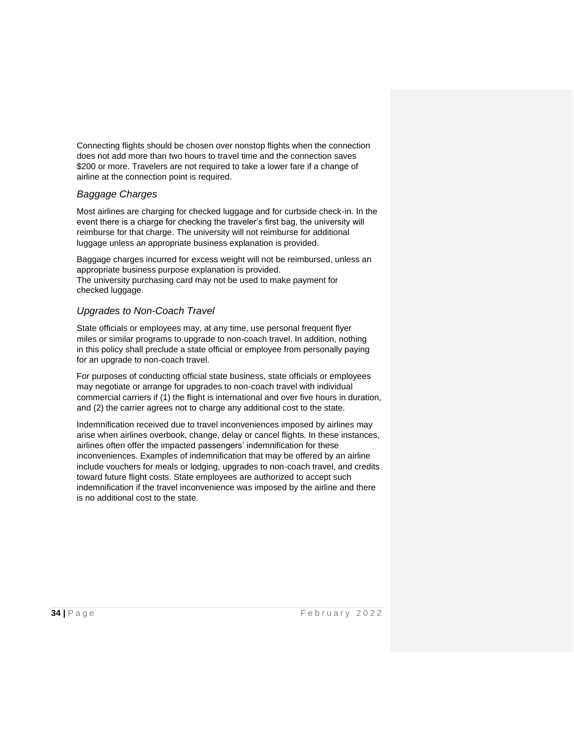Connecting flights should be chosen over nonstop flights when the connection does not add more than two hours to travel time and the connection saves \$200 or more. Travelers are not required to take a lower fare if a change of airline at the connection point is required.

### *Baggage Charges*

Most airlines are charging for checked luggage and for curbside check-in. In the event there is a charge for checking the traveler's first bag, the university will reimburse for that charge. The university will not reimburse for additional luggage unless an appropriate business explanation is provided.

Baggage charges incurred for excess weight will not be reimbursed, unless an appropriate business purpose explanation is provided. The university purchasing card may not be used to make payment for checked luggage.

### *Upgrades to Non-Coach Travel*

State officials or employees may, at any time, use personal frequent flyer miles or similar programs to upgrade to non-coach travel. In addition, nothing in this policy shall preclude a state official or employee from personally paying for an upgrade to non-coach travel.

For purposes of conducting official state business, state officials or employees may negotiate or arrange for upgrades to non-coach travel with individual commercial carriers if (1) the flight is international and over five hours in duration, and (2) the carrier agrees not to charge any additional cost to the state.

Indemnification received due to travel inconveniences imposed by airlines may arise when airlines overbook, change, delay or cancel flights. In these instances, airlines often offer the impacted passengers' indemnification for these inconveniences. Examples of indemnification that may be offered by an airline include vouchers for meals or lodging, upgrades to non-coach travel, and credits toward future flight costs. State employees are authorized to accept such indemnification if the travel inconvenience was imposed by the airline and there is no additional cost to the state.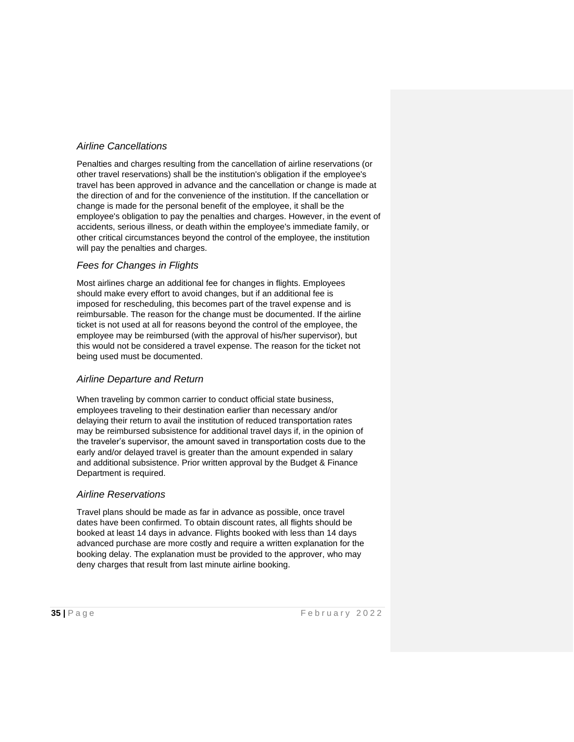## *Airline Cancellations*

Penalties and charges resulting from the cancellation of airline reservations (or other travel reservations) shall be the institution's obligation if the employee's travel has been approved in advance and the cancellation or change is made at the direction of and for the convenience of the institution. If the cancellation or change is made for the personal benefit of the employee, it shall be the employee's obligation to pay the penalties and charges. However, in the event of accidents, serious illness, or death within the employee's immediate family, or other critical circumstances beyond the control of the employee, the institution will pay the penalties and charges.

### *Fees for Changes in Flights*

Most airlines charge an additional fee for changes in flights. Employees should make every effort to avoid changes, but if an additional fee is imposed for rescheduling, this becomes part of the travel expense and is reimbursable. The reason for the change must be documented. If the airline ticket is not used at all for reasons beyond the control of the employee, the employee may be reimbursed (with the approval of his/her supervisor), but this would not be considered a travel expense. The reason for the ticket not being used must be documented.

#### *Airline Departure and Return*

When traveling by common carrier to conduct official state business, employees traveling to their destination earlier than necessary and/or delaying their return to avail the institution of reduced transportation rates may be reimbursed subsistence for additional travel days if, in the opinion of the traveler's supervisor, the amount saved in transportation costs due to the early and/or delayed travel is greater than the amount expended in salary and additional subsistence. Prior written approval by the Budget & Finance Department is required.

#### *Airline Reservations*

Travel plans should be made as far in advance as possible, once travel dates have been confirmed. To obtain discount rates, all flights should be booked at least 14 days in advance. Flights booked with less than 14 days advanced purchase are more costly and require a written explanation for the booking delay. The explanation must be provided to the approver, who may deny charges that result from last minute airline booking.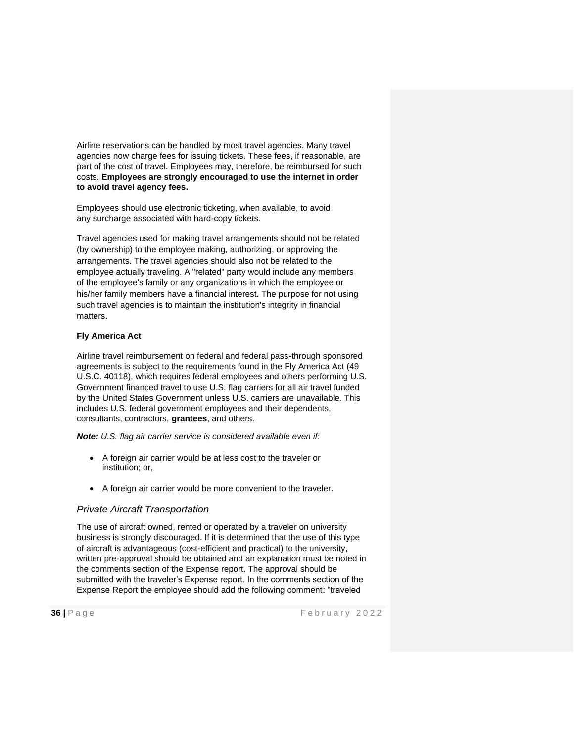Airline reservations can be handled by most travel agencies. Many travel agencies now charge fees for issuing tickets. These fees, if reasonable, are part of the cost of travel. Employees may, therefore, be reimbursed for such costs. **Employees are strongly encouraged to use the internet in order to avoid travel agency fees.**

Employees should use electronic ticketing, when available, to avoid any surcharge associated with hard-copy tickets.

Travel agencies used for making travel arrangements should not be related (by ownership) to the employee making, authorizing, or approving the arrangements. The travel agencies should also not be related to the employee actually traveling. A "related" party would include any members of the employee's family or any organizations in which the employee or his/her family members have a financial interest. The purpose for not using such travel agencies is to maintain the institution's integrity in financial matters.

#### **Fly America Act**

Airline travel reimbursement on federal and federal pass-through sponsored agreements is subject to the requirements found in the Fly America Act (49 U.S.C. 40118), which requires federal employees and others performing U.S. Government financed travel to use U.S. flag carriers for all air travel funded by the United States Government unless U.S. carriers are unavailable. This includes U.S. federal government employees and their dependents, consultants, contractors, **grantees**, and others.

*Note: U.S. flag air carrier service is considered available even if:*

- A foreign air carrier would be at less cost to the traveler or institution; or,
- A foreign air carrier would be more convenient to the traveler.

# *Private Aircraft Transportation*

The use of aircraft owned, rented or operated by a traveler on university business is strongly discouraged. If it is determined that the use of this type of aircraft is advantageous (cost-efficient and practical) to the university, written pre-approval should be obtained and an explanation must be noted in the comments section of the Expense report. The approval should be submitted with the traveler's Expense report. In the comments section of the Expense Report the employee should add the following comment: "traveled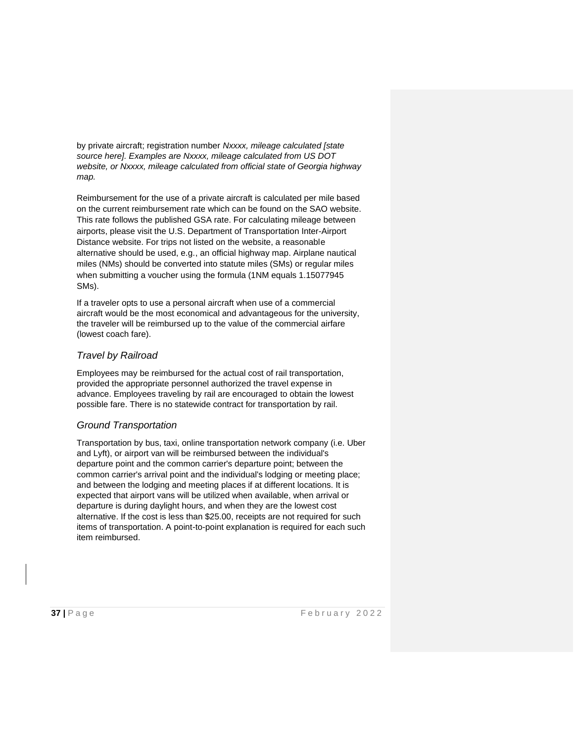by private aircraft; registration number *Nxxxx, mileage calculated [state source here]. Examples are Nxxxx, mileage calculated from US DOT website, or Nxxxx, mileage calculated from official state of Georgia highway map.*

Reimbursement for the use of a private aircraft is calculated per mile based on the current reimbursement rate which can be found on the SAO website. This rate follows the published GSA rate. For calculating mileage between airports, please visit the U.S. Department of Transportation Inter-Airport Distance website. For trips not listed on the website, a reasonable alternative should be used, e.g., an official highway map. Airplane nautical miles (NMs) should be converted into statute miles (SMs) or regular miles when submitting a voucher using the formula (1NM equals 1.15077945 SMs).

If a traveler opts to use a personal aircraft when use of a commercial aircraft would be the most economical and advantageous for the university, the traveler will be reimbursed up to the value of the commercial airfare (lowest coach fare).

### *Travel by Railroad*

Employees may be reimbursed for the actual cost of rail transportation, provided the appropriate personnel authorized the travel expense in advance. Employees traveling by rail are encouraged to obtain the lowest possible fare. There is no statewide contract for transportation by rail.

#### *Ground Transportation*

Transportation by bus, taxi, online transportation network company (i.e. Uber and Lyft), or airport van will be reimbursed between the individual's departure point and the common carrier's departure point; between the common carrier's arrival point and the individual's lodging or meeting place; and between the lodging and meeting places if at different locations. It is expected that airport vans will be utilized when available, when arrival or departure is during daylight hours, and when they are the lowest cost alternative. If the cost is less than \$25.00, receipts are not required for such items of transportation. A point-to-point explanation is required for each such item reimbursed.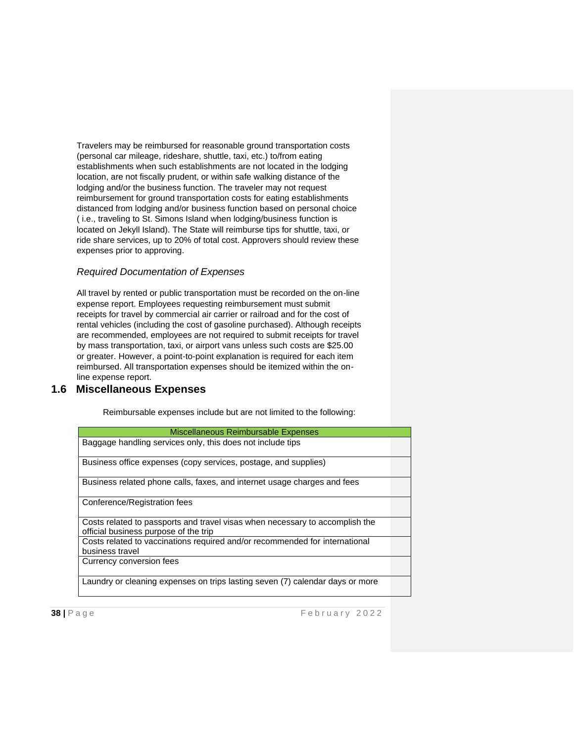Travelers may be reimbursed for reasonable ground transportation costs (personal car mileage, rideshare, shuttle, taxi, etc.) to/from eating establishments when such establishments are not located in the lodging location, are not fiscally prudent, or within safe walking distance of the lodging and/or the business function. The traveler may not request reimbursement for ground transportation costs for eating establishments distanced from lodging and/or business function based on personal choice ( i.e., traveling to St. Simons Island when lodging/business function is located on Jekyll Island). The State will reimburse tips for shuttle, taxi, or ride share services, up to 20% of total cost. Approvers should review these expenses prior to approving.

#### *Required Documentation of Expenses*

All travel by rented or public transportation must be recorded on the on-line expense report. Employees requesting reimbursement must submit receipts for travel by commercial air carrier or railroad and for the cost of rental vehicles (including the cost of gasoline purchased). Although receipts are recommended, employees are not required to submit receipts for travel by mass transportation, taxi, or airport vans unless such costs are \$25.00 or greater. However, a point-to-point explanation is required for each item reimbursed. All transportation expenses should be itemized within the online expense report.

# **1.6 Miscellaneous Expenses**

Reimbursable expenses include but are not limited to the following:

| Miscellaneous Reimbursable Expenses                                                                                   |  |
|-----------------------------------------------------------------------------------------------------------------------|--|
| Baggage handling services only, this does not include tips                                                            |  |
| Business office expenses (copy services, postage, and supplies)                                                       |  |
| Business related phone calls, faxes, and internet usage charges and fees                                              |  |
| Conference/Registration fees                                                                                          |  |
| Costs related to passports and travel visas when necessary to accomplish the<br>official business purpose of the trip |  |
| Costs related to vaccinations required and/or recommended for international<br>business travel                        |  |
| Currency conversion fees                                                                                              |  |
| Laundry or cleaning expenses on trips lasting seven (7) calendar days or more                                         |  |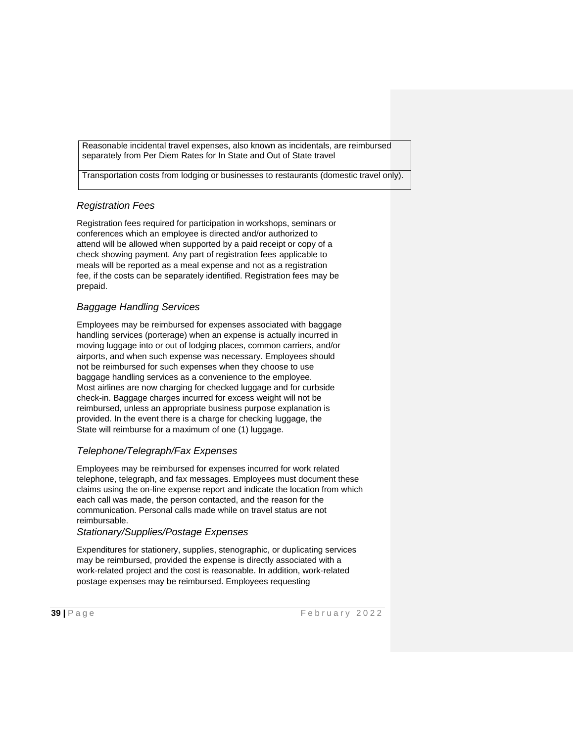Reasonable incidental travel expenses, also known as incidentals, are reimbursed separately from Per Diem Rates for In State and Out of State travel

Transportation costs from lodging or businesses to restaurants (domestic travel only).

# *Registration Fees*

Registration fees required for participation in workshops, seminars or conferences which an employee is directed and/or authorized to attend will be allowed when supported by a paid receipt or copy of a check showing payment. Any part of registration fees applicable to meals will be reported as a meal expense and not as a registration fee, if the costs can be separately identified. Registration fees may be prepaid.

# *Baggage Handling Services*

Employees may be reimbursed for expenses associated with baggage handling services (porterage) when an expense is actually incurred in moving luggage into or out of lodging places, common carriers, and/or airports, and when such expense was necessary. Employees should not be reimbursed for such expenses when they choose to use baggage handling services as a convenience to the employee. Most airlines are now charging for checked luggage and for curbside check-in. Baggage charges incurred for excess weight will not be reimbursed, unless an appropriate business purpose explanation is provided. In the event there is a charge for checking luggage, the State will reimburse for a maximum of one (1) luggage.

# *Telephone/Telegraph/Fax Expenses*

Employees may be reimbursed for expenses incurred for work related telephone, telegraph, and fax messages. Employees must document these claims using the on-line expense report and indicate the location from which each call was made, the person contacted, and the reason for the communication. Personal calls made while on travel status are not reimbursable.

#### *Stationary/Supplies/Postage Expenses*

Expenditures for stationery, supplies, stenographic, or duplicating services may be reimbursed, provided the expense is directly associated with a work-related project and the cost is reasonable. In addition, work-related postage expenses may be reimbursed. Employees requesting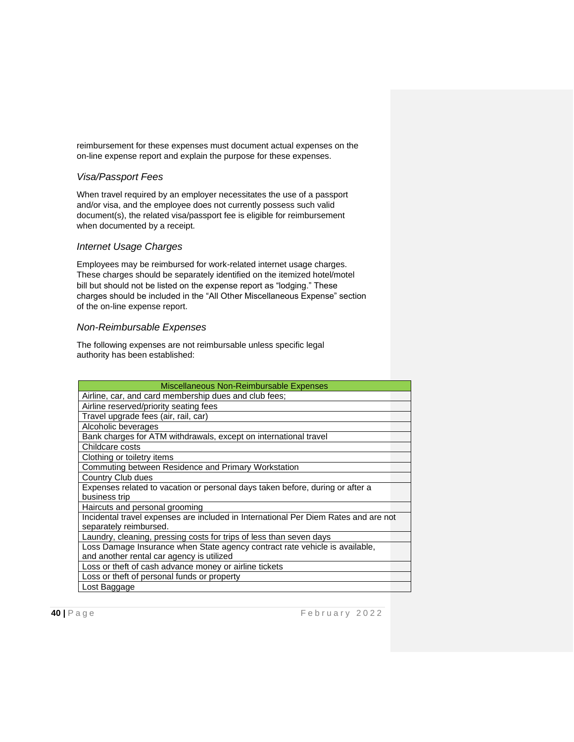reimbursement for these expenses must document actual expenses on the on-line expense report and explain the purpose for these expenses.

## *Visa/Passport Fees*

When travel required by an employer necessitates the use of a passport and/or visa, and the employee does not currently possess such valid document(s), the related visa/passport fee is eligible for reimbursement when documented by a receipt.

#### *Internet Usage Charges*

Employees may be reimbursed for work-related internet usage charges. These charges should be separately identified on the itemized hotel/motel bill but should not be listed on the expense report as "lodging." These charges should be included in the "All Other Miscellaneous Expense" section of the on-line expense report.

#### *Non-Reimbursable Expenses*

The following expenses are not reimbursable unless specific legal authority has been established:

| Miscellaneous Non-Reimbursable Expenses                                             |
|-------------------------------------------------------------------------------------|
| Airline, car, and card membership dues and club fees;                               |
| Airline reserved/priority seating fees                                              |
| Travel upgrade fees (air, rail, car)                                                |
| Alcoholic beverages                                                                 |
| Bank charges for ATM withdrawals, except on international travel                    |
| Childcare costs                                                                     |
| Clothing or toiletry items                                                          |
| Commuting between Residence and Primary Workstation                                 |
| Country Club dues                                                                   |
| Expenses related to vacation or personal days taken before, during or after a       |
| business trip                                                                       |
| Haircuts and personal grooming                                                      |
| Incidental travel expenses are included in International Per Diem Rates and are not |
| separately reimbursed.                                                              |
| Laundry, cleaning, pressing costs for trips of less than seven days                 |
| Loss Damage Insurance when State agency contract rate vehicle is available,         |
| and another rental car agency is utilized                                           |
| Loss or theft of cash advance money or airline tickets                              |
| Loss or theft of personal funds or property                                         |
| Lost Baggage                                                                        |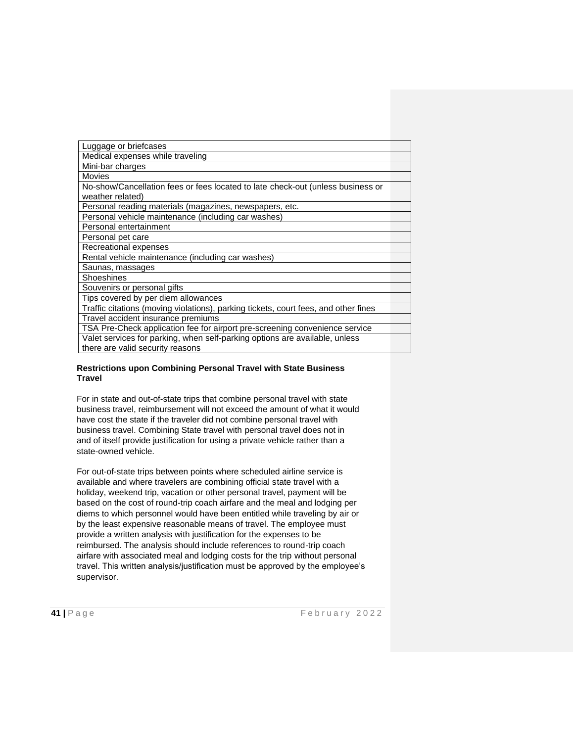| Luggage or briefcases                                                               |  |
|-------------------------------------------------------------------------------------|--|
| Medical expenses while traveling                                                    |  |
| Mini-bar charges                                                                    |  |
| Movies                                                                              |  |
| No-show/Cancellation fees or fees located to late check-out (unless business or     |  |
| weather related)                                                                    |  |
| Personal reading materials (magazines, newspapers, etc.                             |  |
| Personal vehicle maintenance (including car washes)                                 |  |
| Personal entertainment                                                              |  |
| Personal pet care                                                                   |  |
| Recreational expenses                                                               |  |
| Rental vehicle maintenance (including car washes)                                   |  |
| Saunas, massages                                                                    |  |
| Shoeshines                                                                          |  |
| Souvenirs or personal gifts                                                         |  |
| Tips covered by per diem allowances                                                 |  |
| Traffic citations (moving violations), parking tickets, court fees, and other fines |  |
| Travel accident insurance premiums                                                  |  |
| TSA Pre-Check application fee for airport pre-screening convenience service         |  |
| Valet services for parking, when self-parking options are available, unless         |  |
| there are valid security reasons                                                    |  |
|                                                                                     |  |

#### **Restrictions upon Combining Personal Travel with State Business Travel**

For in state and out-of-state trips that combine personal travel with state business travel, reimbursement will not exceed the amount of what it would have cost the state if the traveler did not combine personal travel with business travel. Combining State travel with personal travel does not in and of itself provide justification for using a private vehicle rather than a state-owned vehicle.

For out-of-state trips between points where scheduled airline service is available and where travelers are combining official state travel with a holiday, weekend trip, vacation or other personal travel, payment will be based on the cost of round-trip coach airfare and the meal and lodging per diems to which personnel would have been entitled while traveling by air or by the least expensive reasonable means of travel. The employee must provide a written analysis with justification for the expenses to be reimbursed. The analysis should include references to round-trip coach airfare with associated meal and lodging costs for the trip without personal travel. This written analysis/justification must be approved by the employee's supervisor.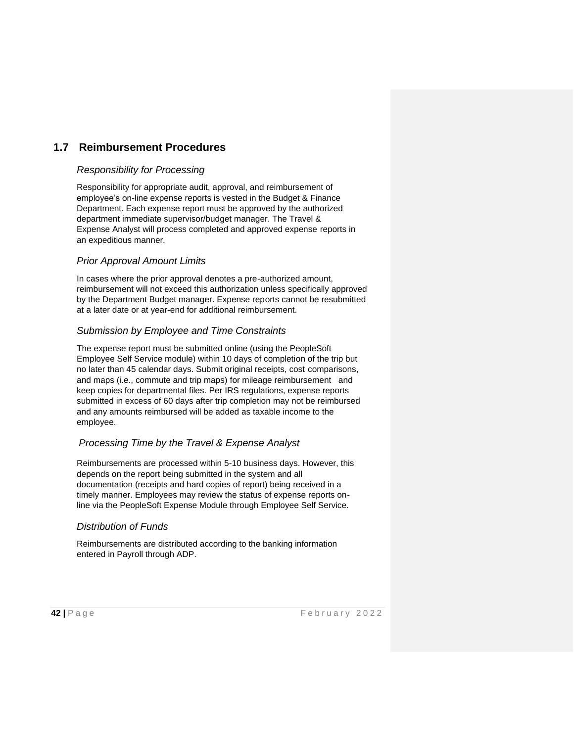# **1.7 Reimbursement Procedures**

### *Responsibility for Processing*

Responsibility for appropriate audit, approval, and reimbursement of employee's on-line expense reports is vested in the Budget & Finance Department. Each expense report must be approved by the authorized department immediate supervisor/budget manager. The Travel & Expense Analyst will process completed and approved expense reports in an expeditious manner.

### *Prior Approval Amount Limits*

In cases where the prior approval denotes a pre-authorized amount, reimbursement will not exceed this authorization unless specifically approved by the Department Budget manager. Expense reports cannot be resubmitted at a later date or at year-end for additional reimbursement.

### *Submission by Employee and Time Constraints*

The expense report must be submitted online (using the PeopleSoft Employee Self Service module) within 10 days of completion of the trip but no later than 45 calendar days. Submit original receipts, cost comparisons, and maps (i.e., commute and trip maps) for mileage reimbursement and keep copies for departmental files. Per IRS regulations, expense reports submitted in excess of 60 days after trip completion may not be reimbursed and any amounts reimbursed will be added as taxable income to the employee.

# *Processing Time by the Travel & Expense Analyst*

Reimbursements are processed within 5-10 business days. However, this depends on the report being submitted in the system and all documentation (receipts and hard copies of report) being received in a timely manner. Employees may review the status of expense reports online via the PeopleSoft Expense Module through Employee Self Service.

#### *Distribution of Funds*

Reimbursements are distributed according to the banking information entered in Payroll through ADP.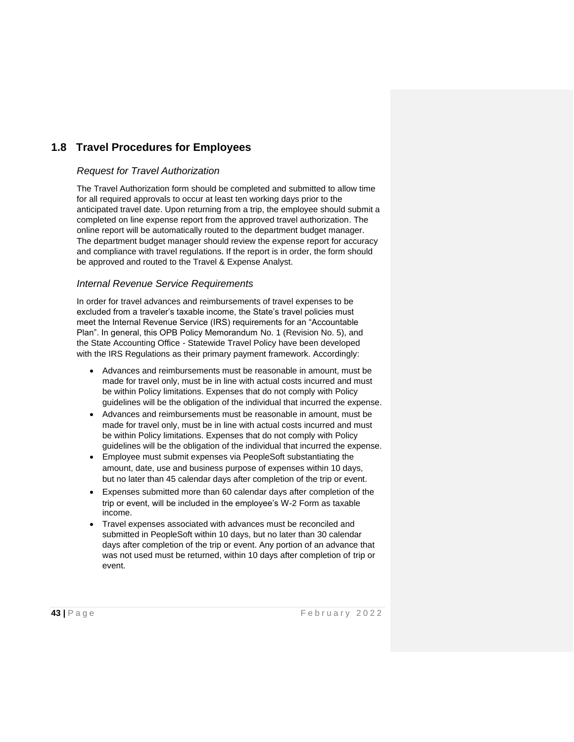# **1.8 Travel Procedures for Employees**

### *Request for Travel Authorization*

The Travel Authorization form should be completed and submitted to allow time for all required approvals to occur at least ten working days prior to the anticipated travel date. Upon returning from a trip, the employee should submit a completed on line expense report from the approved travel authorization. The online report will be automatically routed to the department budget manager. The department budget manager should review the expense report for accuracy and compliance with travel regulations. If the report is in order, the form should be approved and routed to the Travel & Expense Analyst.

### *Internal Revenue Service Requirements*

In order for travel advances and reimbursements of travel expenses to be excluded from a traveler's taxable income, the State's travel policies must meet the Internal Revenue Service (IRS) requirements for an "Accountable Plan". In general, this OPB Policy Memorandum No. 1 (Revision No. 5), and the State Accounting Office - Statewide Travel Policy have been developed with the IRS Regulations as their primary payment framework. Accordingly:

- Advances and reimbursements must be reasonable in amount, must be made for travel only, must be in line with actual costs incurred and must be within Policy limitations. Expenses that do not comply with Policy guidelines will be the obligation of the individual that incurred the expense.
- Advances and reimbursements must be reasonable in amount, must be made for travel only, must be in line with actual costs incurred and must be within Policy limitations. Expenses that do not comply with Policy guidelines will be the obligation of the individual that incurred the expense.
- Employee must submit expenses via PeopleSoft substantiating the amount, date, use and business purpose of expenses within 10 days, but no later than 45 calendar days after completion of the trip or event.
- Expenses submitted more than 60 calendar days after completion of the trip or event, will be included in the employee's W-2 Form as taxable income.
- Travel expenses associated with advances must be reconciled and submitted in PeopleSoft within 10 days, but no later than 30 calendar days after completion of the trip or event. Any portion of an advance that was not used must be returned, within 10 days after completion of trip or event.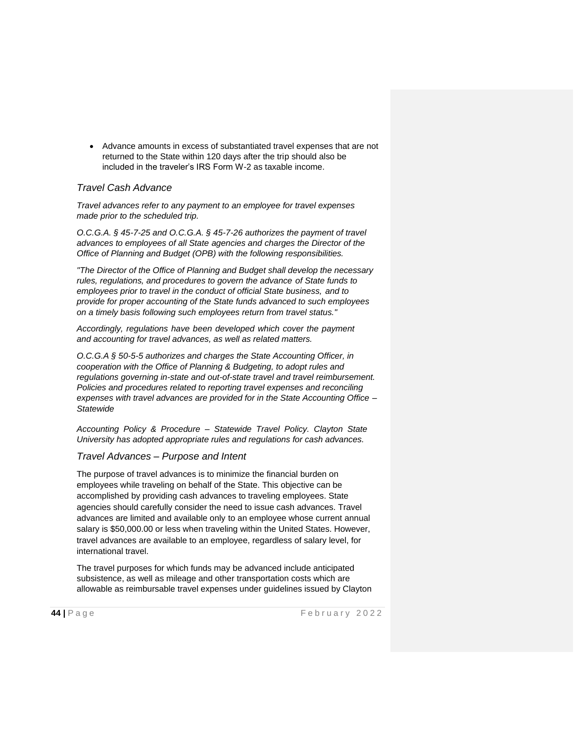• Advance amounts in excess of substantiated travel expenses that are not returned to the State within 120 days after the trip should also be included in the traveler's IRS Form W-2 as taxable income.

# *Travel Cash Advance*

*Travel advances refer to any payment to an employee for travel expenses made prior to the scheduled trip.*

*O.C.G.A. § 45-7-25 and O.C.G.A. § 45-7-26 authorizes the payment of travel advances to employees of all State agencies and charges the Director of the Office of Planning and Budget (OPB) with the following responsibilities.*

*"The Director of the Office of Planning and Budget shall develop the necessary rules, regulations, and procedures to govern the advance of State funds to employees prior to travel in the conduct of official State business, and to provide for proper accounting of the State funds advanced to such employees on a timely basis following such employees return from travel status."*

*Accordingly, regulations have been developed which cover the payment and accounting for travel advances, as well as related matters.*

*O.C.G.A § 50-5-5 authorizes and charges the State Accounting Officer, in cooperation with the Office of Planning & Budgeting, to adopt rules and regulations governing in-state and out-of-state travel and travel reimbursement. Policies and procedures related to reporting travel expenses and reconciling expenses with travel advances are provided for in the State Accounting Office – Statewide*

*Accounting Policy & Procedure – Statewide Travel Policy. Clayton State University has adopted appropriate rules and regulations for cash advances.*

#### *Travel Advances – Purpose and Intent*

The purpose of travel advances is to minimize the financial burden on employees while traveling on behalf of the State. This objective can be accomplished by providing cash advances to traveling employees. State agencies should carefully consider the need to issue cash advances. Travel advances are limited and available only to an employee whose current annual salary is \$50,000.00 or less when traveling within the United States. However, travel advances are available to an employee, regardless of salary level, for international travel.

The travel purposes for which funds may be advanced include anticipated subsistence, as well as mileage and other transportation costs which are allowable as reimbursable travel expenses under guidelines issued by Clayton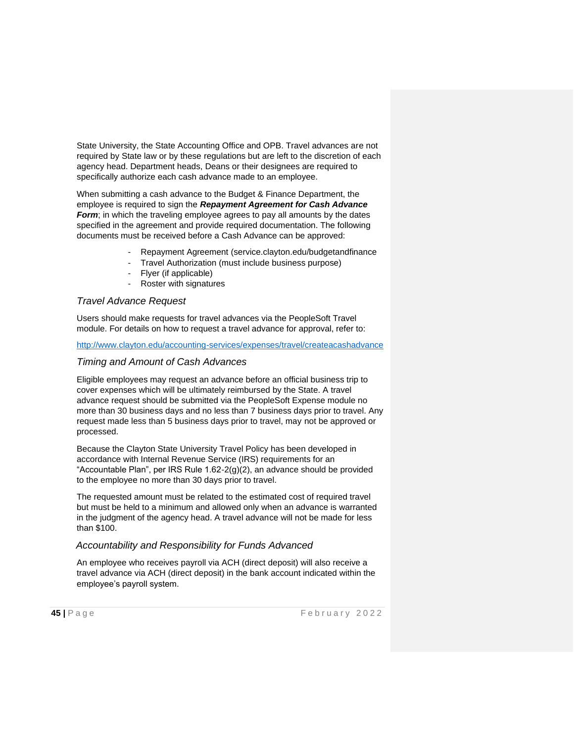State University, the State Accounting Office and OPB. Travel advances are not required by State law or by these regulations but are left to the discretion of each agency head. Department heads, Deans or their designees are required to specifically authorize each cash advance made to an employee.

When submitting a cash advance to the Budget & Finance Department, the employee is required to sign the *Repayment Agreement for Cash Advance Form*; in which the traveling employee agrees to pay all amounts by the dates specified in the agreement and provide required documentation. The following documents must be received before a Cash Advance can be approved:

- Repayment Agreement (service.clayton.edu/budgetandfinance
- Travel Authorization (must include business purpose)
- Flyer (if applicable)
- Roster with signatures

#### *Travel Advance Request*

Users should make requests for travel advances via the PeopleSoft Travel module. For details on how to request a travel advance for approval, refer to:

#### <http://www.clayton.edu/accounting-services/expenses/travel/createacashadvance>

#### *Timing and Amount of Cash Advances*

Eligible employees may request an advance before an official business trip to cover expenses which will be ultimately reimbursed by the State. A travel advance request should be submitted via the PeopleSoft Expense module no more than 30 business days and no less than 7 business days prior to travel. Any request made less than 5 business days prior to travel, may not be approved or processed.

Because the Clayton State University Travel Policy has been developed in accordance with Internal Revenue Service (IRS) requirements for an "Accountable Plan", per IRS Rule 1.62-2(g)(2), an advance should be provided to the employee no more than 30 days prior to travel.

The requested amount must be related to the estimated cost of required travel but must be held to a minimum and allowed only when an advance is warranted in the judgment of the agency head. A travel advance will not be made for less than \$100.

## *Accountability and Responsibility for Funds Advanced*

An employee who receives payroll via ACH (direct deposit) will also receive a travel advance via ACH (direct deposit) in the bank account indicated within the employee's payroll system.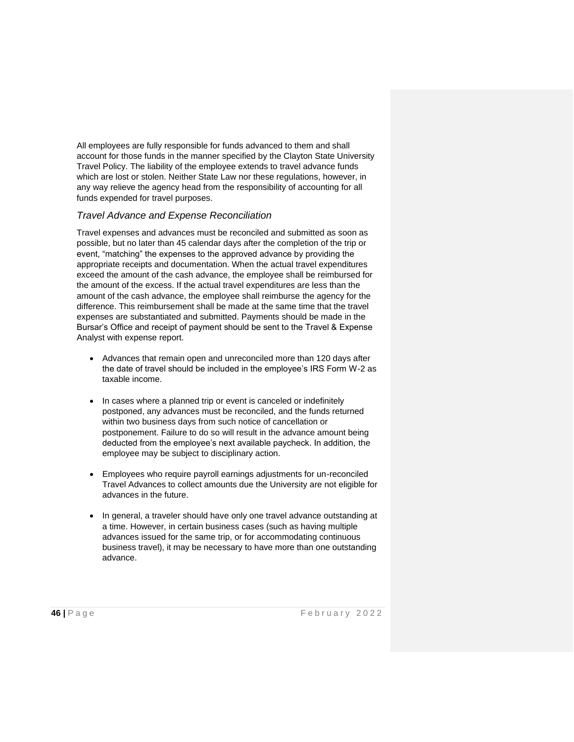All employees are fully responsible for funds advanced to them and shall account for those funds in the manner specified by the Clayton State University Travel Policy. The liability of the employee extends to travel advance funds which are lost or stolen. Neither State Law nor these regulations, however, in any way relieve the agency head from the responsibility of accounting for all funds expended for travel purposes.

#### *Travel Advance and Expense Reconciliation*

Travel expenses and advances must be reconciled and submitted as soon as possible, but no later than 45 calendar days after the completion of the trip or event, "matching" the expenses to the approved advance by providing the appropriate receipts and documentation. When the actual travel expenditures exceed the amount of the cash advance, the employee shall be reimbursed for the amount of the excess. If the actual travel expenditures are less than the amount of the cash advance, the employee shall reimburse the agency for the difference. This reimbursement shall be made at the same time that the travel expenses are substantiated and submitted. Payments should be made in the Bursar's Office and receipt of payment should be sent to the Travel & Expense Analyst with expense report.

- Advances that remain open and unreconciled more than 120 days after the date of travel should be included in the employee's IRS Form W-2 as taxable income.
- In cases where a planned trip or event is canceled or indefinitely postponed, any advances must be reconciled, and the funds returned within two business days from such notice of cancellation or postponement. Failure to do so will result in the advance amount being deducted from the employee's next available paycheck. In addition, the employee may be subject to disciplinary action.
- Employees who require payroll earnings adjustments for un-reconciled Travel Advances to collect amounts due the University are not eligible for advances in the future.
- In general, a traveler should have only one travel advance outstanding at a time. However, in certain business cases (such as having multiple advances issued for the same trip, or for accommodating continuous business travel), it may be necessary to have more than one outstanding advance.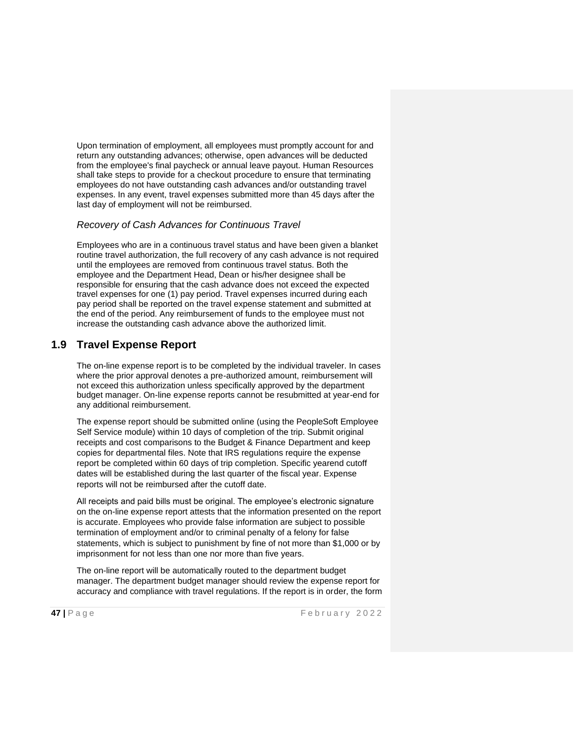Upon termination of employment, all employees must promptly account for and return any outstanding advances; otherwise, open advances will be deducted from the employee's final paycheck or annual leave payout. Human Resources shall take steps to provide for a checkout procedure to ensure that terminating employees do not have outstanding cash advances and/or outstanding travel expenses. In any event, travel expenses submitted more than 45 days after the last day of employment will not be reimbursed.

#### *Recovery of Cash Advances for Continuous Travel*

Employees who are in a continuous travel status and have been given a blanket routine travel authorization, the full recovery of any cash advance is not required until the employees are removed from continuous travel status. Both the employee and the Department Head, Dean or his/her designee shall be responsible for ensuring that the cash advance does not exceed the expected travel expenses for one (1) pay period. Travel expenses incurred during each pay period shall be reported on the travel expense statement and submitted at the end of the period. Any reimbursement of funds to the employee must not increase the outstanding cash advance above the authorized limit.

# **1.9 Travel Expense Report**

The on-line expense report is to be completed by the individual traveler. In cases where the prior approval denotes a pre-authorized amount, reimbursement will not exceed this authorization unless specifically approved by the department budget manager. On-line expense reports cannot be resubmitted at year-end for any additional reimbursement.

The expense report should be submitted online (using the PeopleSoft Employee Self Service module) within 10 days of completion of the trip. Submit original receipts and cost comparisons to the Budget & Finance Department and keep copies for departmental files. Note that IRS regulations require the expense report be completed within 60 days of trip completion. Specific yearend cutoff dates will be established during the last quarter of the fiscal year. Expense reports will not be reimbursed after the cutoff date.

All receipts and paid bills must be original. The employee's electronic signature on the on-line expense report attests that the information presented on the report is accurate. Employees who provide false information are subject to possible termination of employment and/or to criminal penalty of a felony for false statements, which is subject to punishment by fine of not more than \$1,000 or by imprisonment for not less than one nor more than five years.

The on-line report will be automatically routed to the department budget manager. The department budget manager should review the expense report for accuracy and compliance with travel regulations. If the report is in order, the form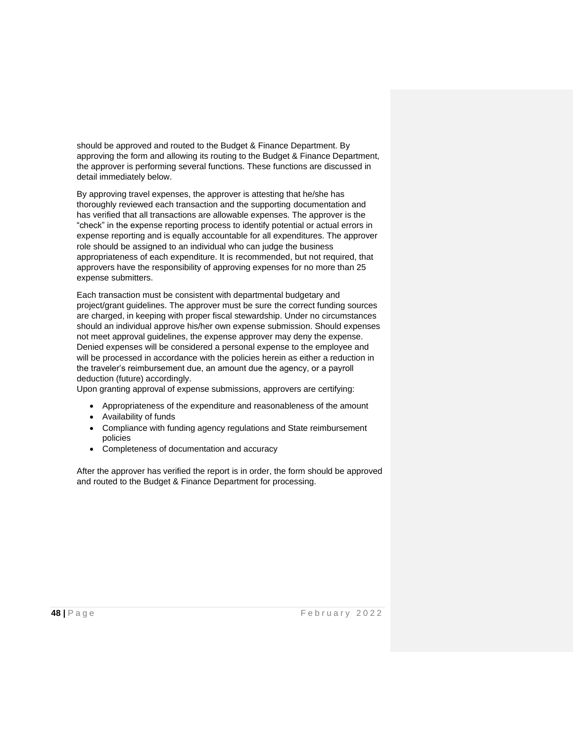should be approved and routed to the Budget & Finance Department. By approving the form and allowing its routing to the Budget & Finance Department, the approver is performing several functions. These functions are discussed in detail immediately below.

By approving travel expenses, the approver is attesting that he/she has thoroughly reviewed each transaction and the supporting documentation and has verified that all transactions are allowable expenses. The approver is the "check" in the expense reporting process to identify potential or actual errors in expense reporting and is equally accountable for all expenditures. The approver role should be assigned to an individual who can judge the business appropriateness of each expenditure. It is recommended, but not required, that approvers have the responsibility of approving expenses for no more than 25 expense submitters.

Each transaction must be consistent with departmental budgetary and project/grant guidelines. The approver must be sure the correct funding sources are charged, in keeping with proper fiscal stewardship. Under no circumstances should an individual approve his/her own expense submission. Should expenses not meet approval guidelines, the expense approver may deny the expense. Denied expenses will be considered a personal expense to the employee and will be processed in accordance with the policies herein as either a reduction in the traveler's reimbursement due, an amount due the agency, or a payroll deduction (future) accordingly.

Upon granting approval of expense submissions, approvers are certifying:

- Appropriateness of the expenditure and reasonableness of the amount
- Availability of funds
- Compliance with funding agency regulations and State reimbursement policies
- Completeness of documentation and accuracy

After the approver has verified the report is in order, the form should be approved and routed to the Budget & Finance Department for processing.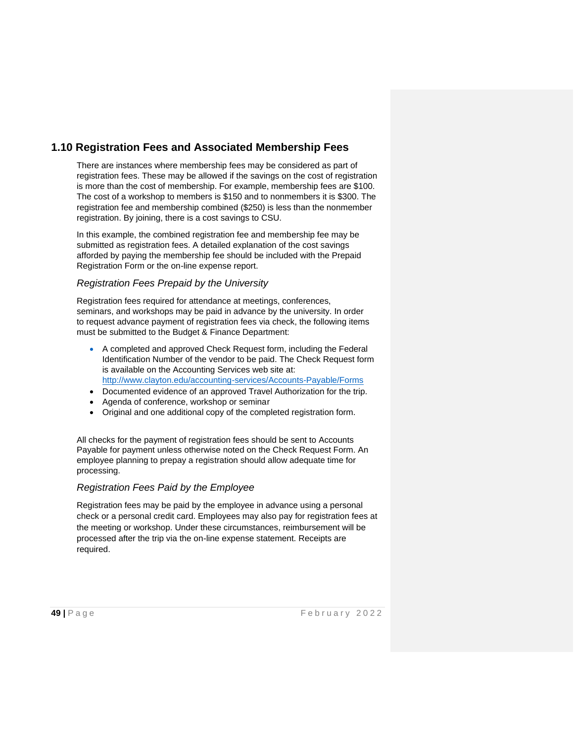# **1.10 Registration Fees and Associated Membership Fees**

There are instances where membership fees may be considered as part of registration fees. These may be allowed if the savings on the cost of registration is more than the cost of membership. For example, membership fees are \$100. The cost of a workshop to members is \$150 and to nonmembers it is \$300. The registration fee and membership combined (\$250) is less than the nonmember registration. By joining, there is a cost savings to CSU.

In this example, the combined registration fee and membership fee may be submitted as registration fees. A detailed explanation of the cost savings afforded by paying the membership fee should be included with the Prepaid Registration Form or the on-line expense report.

### *Registration Fees Prepaid by the University*

Registration fees required for attendance at meetings, conferences, seminars, and workshops may be paid in advance by the university. In order to request advance payment of registration fees via check, the following items must be submitted to the Budget & Finance Department:

- A completed and approved Check Request form, including the Federal Identification Number of the vendor to be paid. The Check Request form is available on the Accounting Services web site at: <http://www.clayton.edu/accounting-services/Accounts-Payable/Forms>
- Documented evidence of an approved Travel Authorization for the trip.
- Agenda of conference, workshop or seminar
- Original and one additional copy of the completed registration form.

All checks for the payment of registration fees should be sent to Accounts Payable for payment unless otherwise noted on the Check Request Form. An employee planning to prepay a registration should allow adequate time for processing.

# *Registration Fees Paid by the Employee*

Registration fees may be paid by the employee in advance using a personal check or a personal credit card. Employees may also pay for registration fees at the meeting or workshop. Under these circumstances, reimbursement will be processed after the trip via the on-line expense statement. Receipts are required.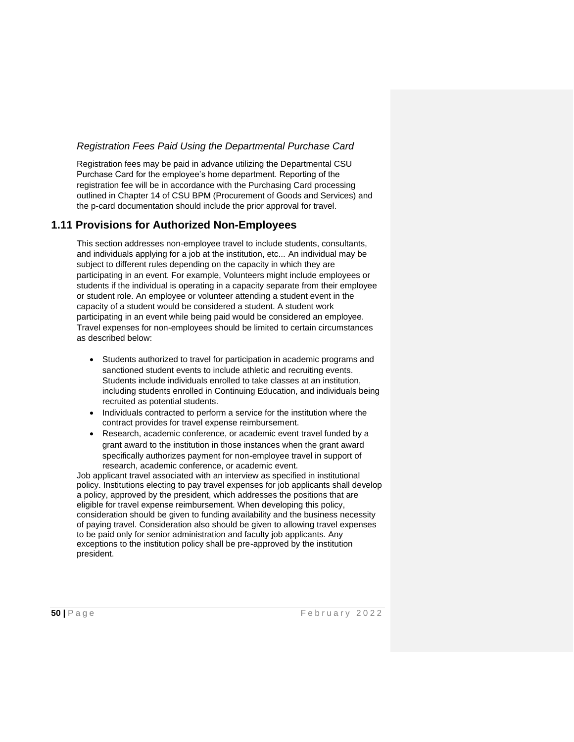## *Registration Fees Paid Using the Departmental Purchase Card*

Registration fees may be paid in advance utilizing the Departmental CSU Purchase Card for the employee's home department. Reporting of the registration fee will be in accordance with the Purchasing Card processing outlined in Chapter 14 of CSU BPM (Procurement of Goods and Services) and the p-card documentation should include the prior approval for travel.

# **1.11 Provisions for Authorized Non-Employees**

This section addresses non-employee travel to include students, consultants, and individuals applying for a job at the institution, etc... An individual may be subject to different rules depending on the capacity in which they are participating in an event. For example, Volunteers might include employees or students if the individual is operating in a capacity separate from their employee or student role. An employee or volunteer attending a student event in the capacity of a student would be considered a student. A student work participating in an event while being paid would be considered an employee. Travel expenses for non-employees should be limited to certain circumstances as described below:

- Students authorized to travel for participation in academic programs and sanctioned student events to include athletic and recruiting events. Students include individuals enrolled to take classes at an institution, including students enrolled in Continuing Education, and individuals being recruited as potential students.
- Individuals contracted to perform a service for the institution where the contract provides for travel expense reimbursement.
- Research, academic conference, or academic event travel funded by a grant award to the institution in those instances when the grant award specifically authorizes payment for non-employee travel in support of research, academic conference, or academic event.

Job applicant travel associated with an interview as specified in institutional policy. Institutions electing to pay travel expenses for job applicants shall develop a policy, approved by the president, which addresses the positions that are eligible for travel expense reimbursement. When developing this policy, consideration should be given to funding availability and the business necessity of paying travel. Consideration also should be given to allowing travel expenses to be paid only for senior administration and faculty job applicants. Any exceptions to the institution policy shall be pre-approved by the institution president.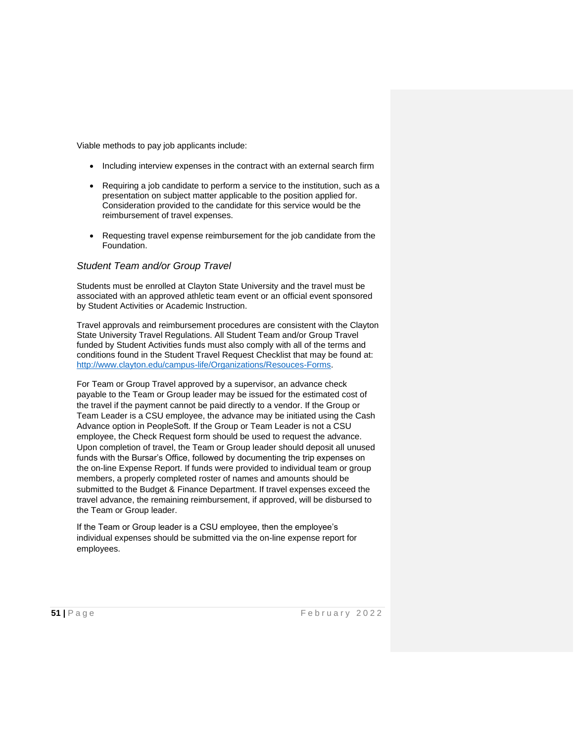Viable methods to pay job applicants include:

- Including interview expenses in the contract with an external search firm
- Requiring a job candidate to perform a service to the institution, such as a presentation on subject matter applicable to the position applied for. Consideration provided to the candidate for this service would be the reimbursement of travel expenses.
- Requesting travel expense reimbursement for the job candidate from the Foundation.

#### *Student Team and/or Group Travel*

Students must be enrolled at Clayton State University and the travel must be associated with an approved athletic team event or an official event sponsored by Student Activities or Academic Instruction.

Travel approvals and reimbursement procedures are consistent with the Clayton State University Travel Regulations. All Student Team and/or Group Travel funded by Student Activities funds must also comply with all of the terms and conditions found in the Student Travel Request Checklist that may be found at: [http://www.clayton.edu/campus-life/Organizations/Resouces-Forms.](http://www.clayton.edu/campus-life/Organizations/Resouces-Forms)

For Team or Group Travel approved by a supervisor, an advance check payable to the Team or Group leader may be issued for the estimated cost of the travel if the payment cannot be paid directly to a vendor. If the Group or Team Leader is a CSU employee, the advance may be initiated using the Cash Advance option in PeopleSoft. If the Group or Team Leader is not a CSU employee, the Check Request form should be used to request the advance. Upon completion of travel, the Team or Group leader should deposit all unused funds with the Bursar's Office, followed by documenting the trip expenses on the on-line Expense Report. If funds were provided to individual team or group members, a properly completed roster of names and amounts should be submitted to the Budget & Finance Department. If travel expenses exceed the travel advance, the remaining reimbursement, if approved, will be disbursed to the Team or Group leader.

If the Team or Group leader is a CSU employee, then the employee's individual expenses should be submitted via the on-line expense report for employees.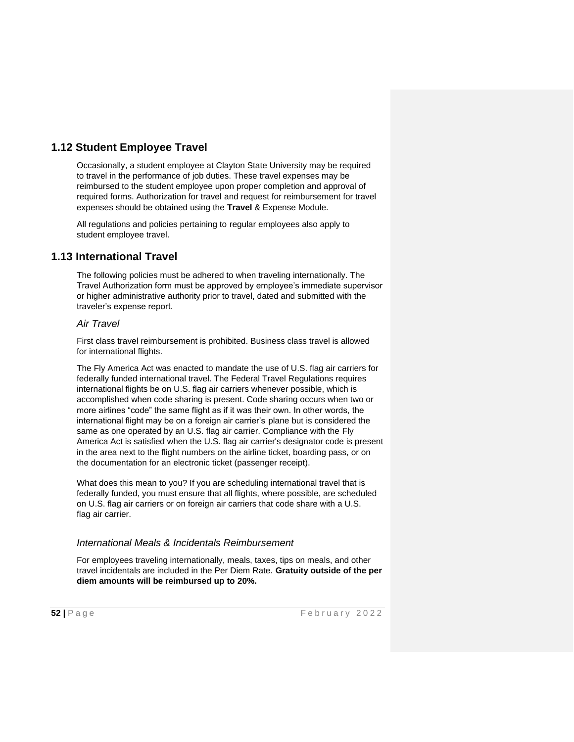# **1.12 Student Employee Travel**

Occasionally, a student employee at Clayton State University may be required to travel in the performance of job duties. These travel expenses may be reimbursed to the student employee upon proper completion and approval of required forms. Authorization for travel and request for reimbursement for travel expenses should be obtained using the **Travel** & Expense Module.

All regulations and policies pertaining to regular employees also apply to student employee travel.

# **1.13 International Travel**

The following policies must be adhered to when traveling internationally. The Travel Authorization form must be approved by employee's immediate supervisor or higher administrative authority prior to travel, dated and submitted with the traveler's expense report.

#### *Air Travel*

First class travel reimbursement is prohibited. Business class travel is allowed for international flights.

The Fly America Act was enacted to mandate the use of U.S. flag air carriers for federally funded international travel. The Federal Travel Regulations requires international flights be on U.S. flag air carriers whenever possible, which is accomplished when code sharing is present. Code sharing occurs when two or more airlines "code" the same flight as if it was their own. In other words, the international flight may be on a foreign air carrier's plane but is considered the same as one operated by an U.S. flag air carrier. Compliance with the Fly America Act is satisfied when the U.S. flag air carrier's designator code is present in the area next to the flight numbers on the airline ticket, boarding pass, or on the documentation for an electronic ticket (passenger receipt).

What does this mean to you? If you are scheduling international travel that is federally funded, you must ensure that all flights, where possible, are scheduled on U.S. flag air carriers or on foreign air carriers that code share with a U.S. flag air carrier.

# *International Meals & Incidentals Reimbursement*

For employees traveling internationally, meals, taxes, tips on meals, and other travel incidentals are included in the Per Diem Rate. **Gratuity outside of the per diem amounts will be reimbursed up to 20%.**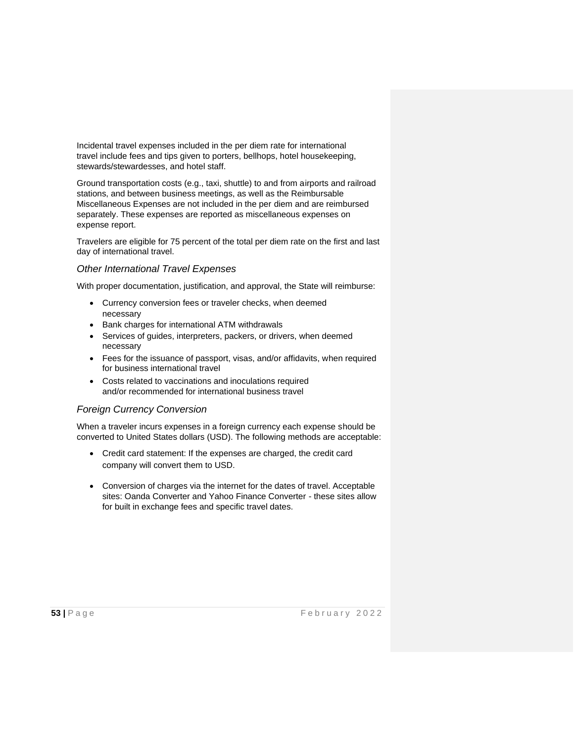Incidental travel expenses included in the per diem rate for international travel include fees and tips given to porters, bellhops, hotel housekeeping, stewards/stewardesses, and hotel staff.

Ground transportation costs (e.g., taxi, shuttle) to and from airports and railroad stations, and between business meetings, as well as the Reimbursable Miscellaneous Expenses are not included in the per diem and are reimbursed separately. These expenses are reported as miscellaneous expenses on expense report.

Travelers are eligible for 75 percent of the total per diem rate on the first and last day of international travel.

#### *Other International Travel Expenses*

With proper documentation, justification, and approval, the State will reimburse:

- Currency conversion fees or traveler checks, when deemed necessary
- Bank charges for international ATM withdrawals
- Services of guides, interpreters, packers, or drivers, when deemed necessary
- Fees for the issuance of passport, visas, and/or affidavits, when required for business international travel
- Costs related to vaccinations and inoculations required and/or recommended for international business travel

#### *Foreign Currency Conversion*

When a traveler incurs expenses in a foreign currency each expense should be converted to United States dollars (USD). The following methods are acceptable:

- Credit card statement: If the expenses are charged, the credit card company will convert them to USD.
- Conversion of charges via the internet for the dates of travel. Acceptable sites: Oanda Converter and Yahoo Finance Converter - these sites allow for built in exchange fees and specific travel dates.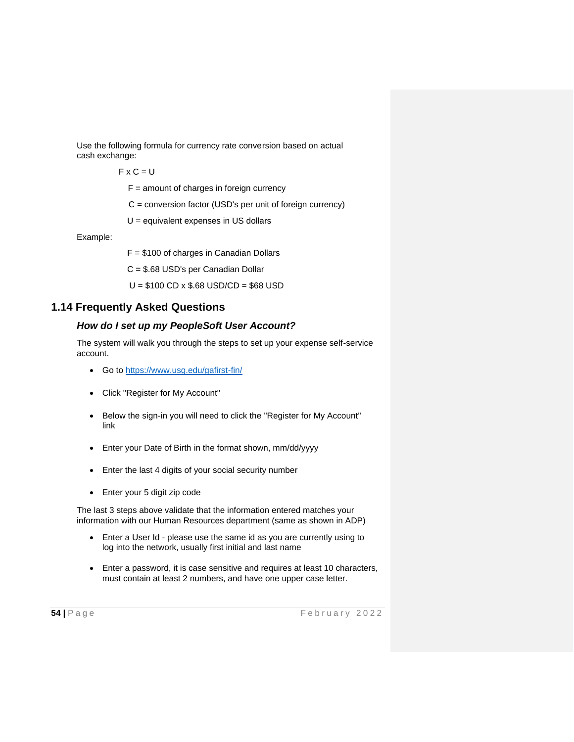Use the following formula for currency rate conversion based on actual cash exchange:

 $FXC = U$ 

 $F =$  amount of charges in foreign currency

C = conversion factor (USD's per unit of foreign currency)

U = equivalent expenses in US dollars

Example:

F = \$100 of charges in Canadian Dollars

C = \$.68 USD's per Canadian Dollar

U = \$100 CD x \$.68 USD/CD = \$68 USD

# **1.14 Frequently Asked Questions**

#### *How do I set up my PeopleSoft User Account?*

The system will walk you through the steps to set up your expense self-service account.

- Go to https://www.usg.edu/gafirst-fin/
- Click "Register for My Account"
- Below the sign-in you will need to click the "Register for My Account" link
- Enter your Date of Birth in the format shown, mm/dd/yyyy
- Enter the last 4 digits of your social security number
- Enter your 5 digit zip code

The last 3 steps above validate that the information entered matches your information with our Human Resources department (same as shown in ADP)

- Enter a User Id please use the same id as you are currently using to log into the network, usually first initial and last name
- Enter a password, it is case sensitive and requires at least 10 characters, must contain at least 2 numbers, and have one upper case letter.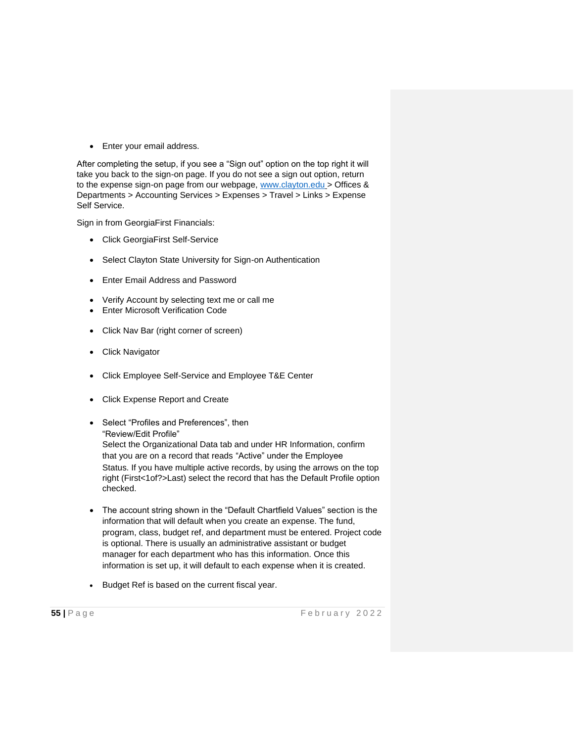• Enter your email address.

After completing the setup, if you see a "Sign out" option on the top right it will take you back to the sign-on page. If you do not see a sign out option, return to the expense sign-on page from our webpage, [www.clayton.edu](http://www.clayton.edu/) > Offices & Departments > Accounting Services > Expenses > Travel > Links > Expense Self Service.

Sign in from GeorgiaFirst Financials:

- Click GeorgiaFirst Self-Service
- Select Clayton State University for Sign-on Authentication
- Enter Email Address and Password
- Verify Account by selecting text me or call me
- Enter Microsoft Verification Code
- Click Nav Bar (right corner of screen)
- Click Navigator
- Click Employee Self-Service and Employee T&E Center
- Click Expense Report and Create
- Select "Profiles and Preferences", then "Review/Edit Profile" Select the Organizational Data tab and under HR Information, confirm that you are on a record that reads "Active" under the Employee Status. If you have multiple active records, by using the arrows on the top right (First<1of?>Last) select the record that has the Default Profile option checked.
- The account string shown in the "Default Chartfield Values" section is the information that will default when you create an expense. The fund, program, class, budget ref, and department must be entered. Project code is optional. There is usually an administrative assistant or budget manager for each department who has this information. Once this information is set up, it will default to each expense when it is created.
- Budget Ref is based on the current fiscal year.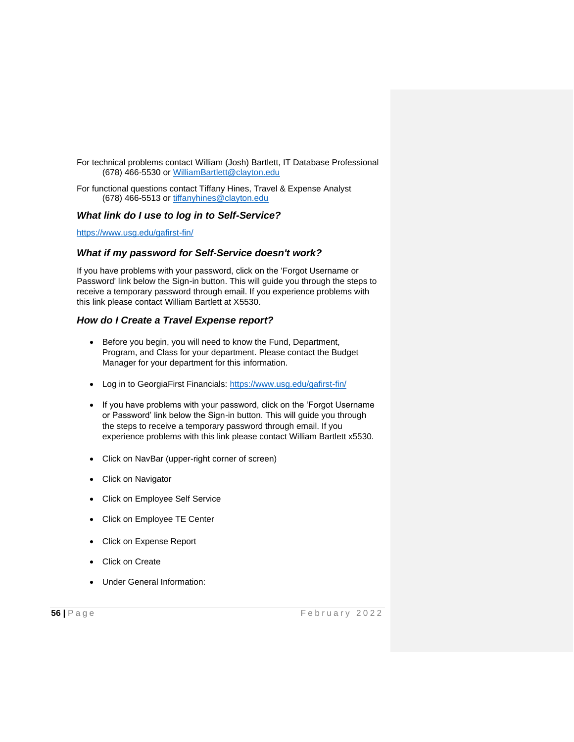For technical problems contact William (Josh) Bartlett, IT Database Professional (678) 466-5530 or [WilliamBartlett@clayton.edu](mailto:WilliamBartlett@clayton.edu)

For functional questions contact Tiffany Hines, Travel & Expense Analyst (678) 466-5513 or [tiffanyhines@clayton.edu](mailto:tiffanyhines@clayton.edu)

### *What link do I use to log in to Self-Service?*

<https://www.usg.edu/gafirst-fin/>

### *What if my password for Self-Service doesn't work?*

If you have problems with your password, click on the 'Forgot Username or Password' link below the Sign-in button. This will guide you through the steps to receive a temporary password through email. If you experience problems with this link please contact William Bartlett at X5530.

# *How do I Create a Travel Expense report?*

- Before you begin, you will need to know the Fund, Department, Program, and Class for your department. Please contact the Budget Manager for your department for this information.
- Log in to GeorgiaFirst Financials:<https://www.usg.edu/gafirst-fin/>
- If you have problems with your password, click on the 'Forgot Username or Password' link below the Sign-in button. This will guide you through the steps to receive a temporary password through email. If you experience problems with this link please contact William Bartlett x5530.
- Click on NavBar (upper-right corner of screen)
- Click on Navigator
- Click on Employee Self Service
- Click on Employee TE Center
- Click on Expense Report
- **Click on Create**
- Under General Information: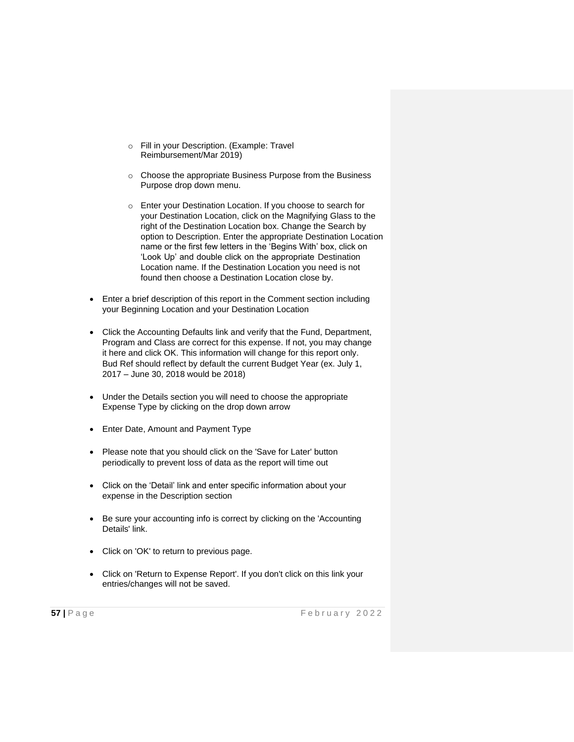- o Fill in your Description. (Example: Travel Reimbursement/Mar 2019)
- o Choose the appropriate Business Purpose from the Business Purpose drop down menu.
- o Enter your Destination Location. If you choose to search for your Destination Location, click on the Magnifying Glass to the right of the Destination Location box. Change the Search by option to Description. Enter the appropriate Destination Location name or the first few letters in the 'Begins With' box, click on 'Look Up' and double click on the appropriate Destination Location name. If the Destination Location you need is not found then choose a Destination Location close by.
- Enter a brief description of this report in the Comment section including your Beginning Location and your Destination Location
- Click the Accounting Defaults link and verify that the Fund, Department, Program and Class are correct for this expense. If not, you may change it here and click OK. This information will change for this report only. Bud Ref should reflect by default the current Budget Year (ex. July 1, 2017 – June 30, 2018 would be 2018)
- Under the Details section you will need to choose the appropriate Expense Type by clicking on the drop down arrow
- Enter Date, Amount and Payment Type
- Please note that you should click on the 'Save for Later' button periodically to prevent loss of data as the report will time out
- Click on the 'Detail' link and enter specific information about your expense in the Description section
- Be sure your accounting info is correct by clicking on the 'Accounting Details' link.
- Click on 'OK' to return to previous page.
- Click on 'Return to Expense Report'. If you don't click on this link your entries/changes will not be saved.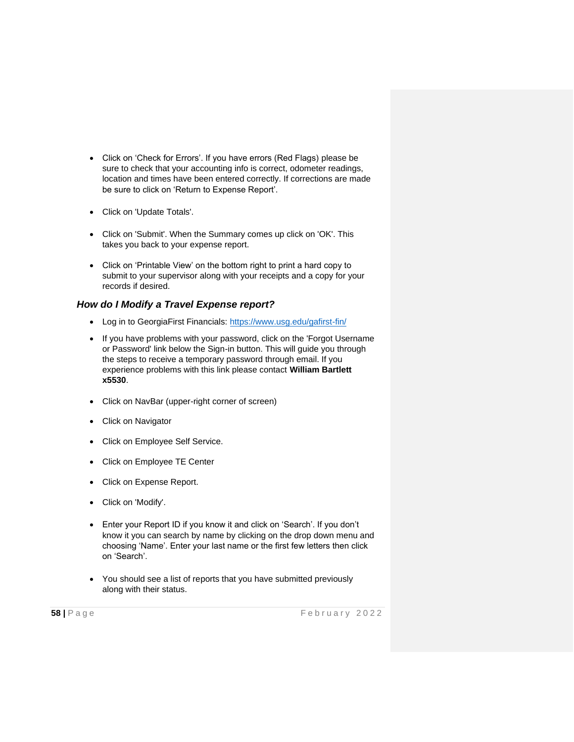- Click on 'Check for Errors'. If you have errors (Red Flags) please be sure to check that your accounting info is correct, odometer readings, location and times have been entered correctly. If corrections are made be sure to click on 'Return to Expense Report'.
- Click on 'Update Totals'.
- Click on 'Submit'. When the Summary comes up click on 'OK'. This takes you back to your expense report.
- Click on 'Printable View' on the bottom right to print a hard copy to submit to your supervisor along with your receipts and a copy for your records if desired.

### *How do I Modify a Travel Expense report?*

- Log in to GeorgiaFirst Financials:<https://www.usg.edu/gafirst-fin/>
- If you have problems with your password, click on the 'Forgot Username or Password' link below the Sign-in button. This will guide you through the steps to receive a temporary password through email. If you experience problems with this link please contact **William Bartlett x5530**.
- Click on NavBar (upper-right corner of screen)
- Click on Navigator
- Click on Employee Self Service.
- Click on Employee TE Center
- Click on Expense Report.
- Click on 'Modify'.
- Enter your Report ID if you know it and click on 'Search'. If you don't know it you can search by name by clicking on the drop down menu and choosing 'Name'. Enter your last name or the first few letters then click on 'Search'.
- You should see a list of reports that you have submitted previously along with their status.

**58** | Page **F** e b r u a r y 2022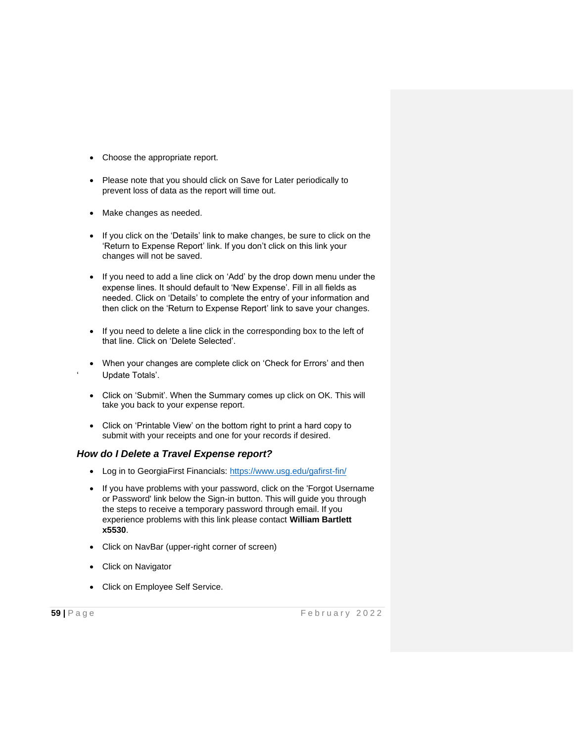- Choose the appropriate report.
- Please note that you should click on Save for Later periodically to prevent loss of data as the report will time out.
- Make changes as needed.
- If you click on the 'Details' link to make changes, be sure to click on the 'Return to Expense Report' link. If you don't click on this link your changes will not be saved.
- If you need to add a line click on 'Add' by the drop down menu under the expense lines. It should default to 'New Expense'. Fill in all fields as needed. Click on 'Details' to complete the entry of your information and then click on the 'Return to Expense Report' link to save your changes.
- If you need to delete a line click in the corresponding box to the left of that line. Click on 'Delete Selected'.
- When your changes are complete click on 'Check for Errors' and then Update Totals'.
- Click on 'Submit'. When the Summary comes up click on OK. This will take you back to your expense report.
- Click on 'Printable View' on the bottom right to print a hard copy to submit with your receipts and one for your records if desired.

#### *How do I Delete a Travel Expense report?*

- Log in to GeorgiaFirst Financials:<https://www.usg.edu/gafirst-fin/>
- If you have problems with your password, click on the 'Forgot Username or Password' link below the Sign-in button. This will guide you through the steps to receive a temporary password through email. If you experience problems with this link please contact **William Bartlett x5530**.
- Click on NavBar (upper-right corner of screen)
- Click on Navigator
- Click on Employee Self Service.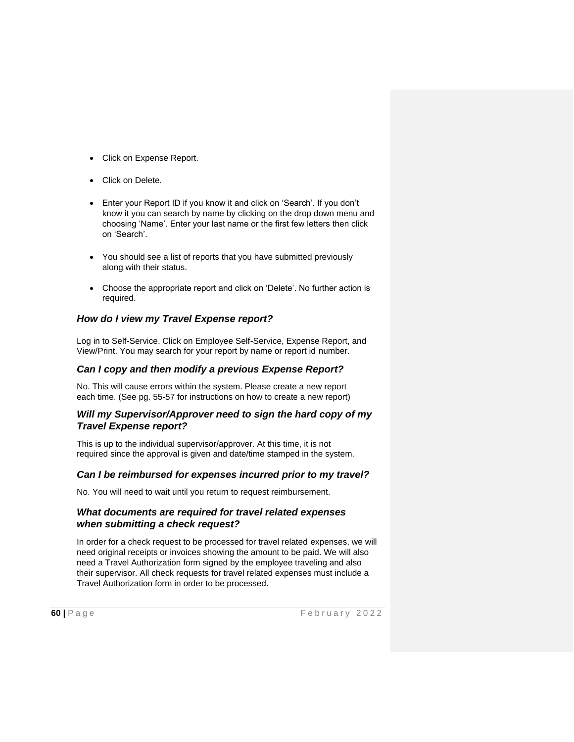- Click on Expense Report.
- Click on Delete.
- Enter your Report ID if you know it and click on 'Search'. If you don't know it you can search by name by clicking on the drop down menu and choosing 'Name'. Enter your last name or the first few letters then click on 'Search'.
- You should see a list of reports that you have submitted previously along with their status.
- Choose the appropriate report and click on 'Delete'. No further action is required.

# *How do I view my Travel Expense report?*

Log in to Self-Service. Click on Employee Self-Service, Expense Report, and View/Print. You may search for your report by name or report id number.

# *Can I copy and then modify a previous Expense Report?*

No. This will cause errors within the system. Please create a new report each time. (See pg. 55-57 for instructions on how to create a new report)

### *Will my Supervisor/Approver need to sign the hard copy of my Travel Expense report?*

This is up to the individual supervisor/approver. At this time, it is not required since the approval is given and date/time stamped in the system.

#### *Can I be reimbursed for expenses incurred prior to my travel?*

No. You will need to wait until you return to request reimbursement.

### *What documents are required for travel related expenses when submitting a check request?*

In order for a check request to be processed for travel related expenses, we will need original receipts or invoices showing the amount to be paid. We will also need a Travel Authorization form signed by the employee traveling and also their supervisor. All check requests for travel related expenses must include a Travel Authorization form in order to be processed.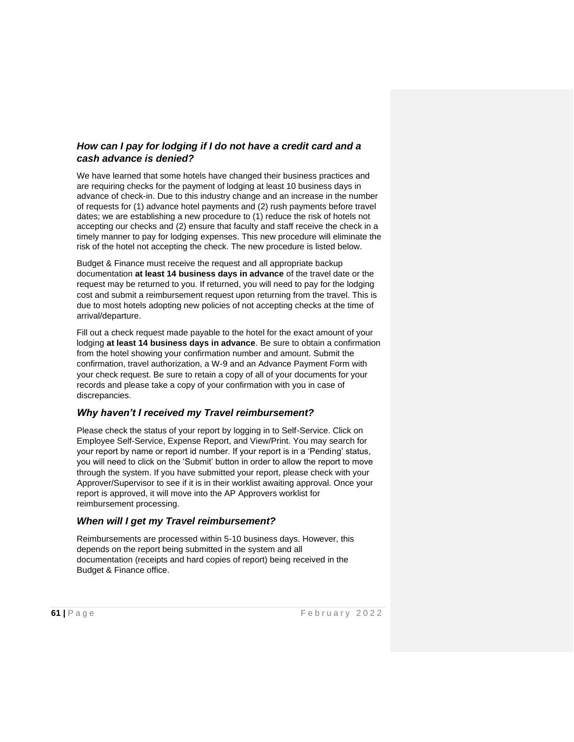# *How can I pay for lodging if I do not have a credit card and a cash advance is denied?*

We have learned that some hotels have changed their business practices and are requiring checks for the payment of lodging at least 10 business days in advance of check-in. Due to this industry change and an increase in the number of requests for (1) advance hotel payments and (2) rush payments before travel dates; we are establishing a new procedure to (1) reduce the risk of hotels not accepting our checks and (2) ensure that faculty and staff receive the check in a timely manner to pay for lodging expenses. This new procedure will eliminate the risk of the hotel not accepting the check. The new procedure is listed below.

Budget & Finance must receive the request and all appropriate backup documentation **at least 14 business days in advance** of the travel date or the request may be returned to you. If returned, you will need to pay for the lodging cost and submit a reimbursement request upon returning from the travel. This is due to most hotels adopting new policies of not accepting checks at the time of arrival/departure.

Fill out a check request made payable to the hotel for the exact amount of your lodging **at least 14 business days in advance**. Be sure to obtain a confirmation from the hotel showing your confirmation number and amount. Submit the confirmation, travel authorization, a W-9 and an Advance Payment Form with your check request. Be sure to retain a copy of all of your documents for your records and please take a copy of your confirmation with you in case of discrepancies.

# *Why haven't I received my Travel reimbursement?*

Please check the status of your report by logging in to Self-Service. Click on Employee Self-Service, Expense Report, and View/Print. You may search for your report by name or report id number. If your report is in a 'Pending' status, you will need to click on the 'Submit' button in order to allow the report to move through the system. If you have submitted your report, please check with your Approver/Supervisor to see if it is in their worklist awaiting approval. Once your report is approved, it will move into the AP Approvers worklist for reimbursement processing.

# *When will I get my Travel reimbursement?*

Reimbursements are processed within 5-10 business days. However, this depends on the report being submitted in the system and all documentation (receipts and hard copies of report) being received in the Budget & Finance office.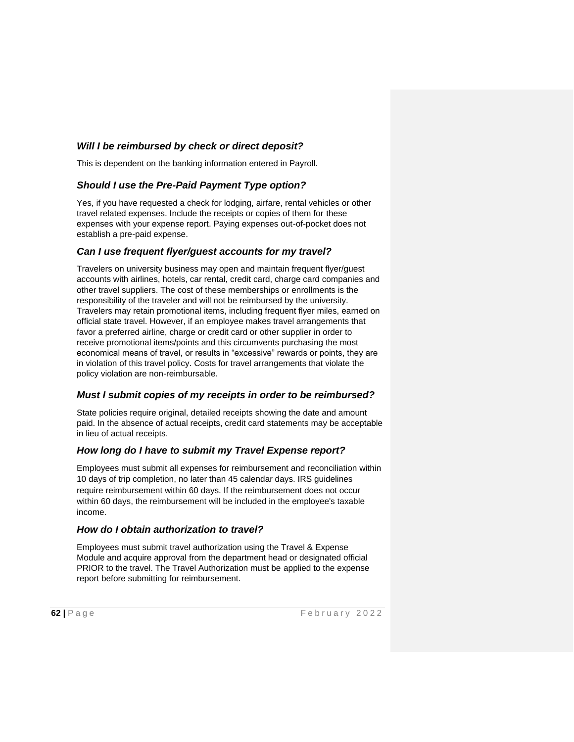# *Will I be reimbursed by check or direct deposit?*

This is dependent on the banking information entered in Payroll.

# *Should I use the Pre-Paid Payment Type option?*

Yes, if you have requested a check for lodging, airfare, rental vehicles or other travel related expenses. Include the receipts or copies of them for these expenses with your expense report. Paying expenses out-of-pocket does not establish a pre-paid expense.

# *Can I use frequent flyer/guest accounts for my travel?*

Travelers on university business may open and maintain frequent flyer/guest accounts with airlines, hotels, car rental, credit card, charge card companies and other travel suppliers. The cost of these memberships or enrollments is the responsibility of the traveler and will not be reimbursed by the university. Travelers may retain promotional items, including frequent flyer miles, earned on official state travel. However, if an employee makes travel arrangements that favor a preferred airline, charge or credit card or other supplier in order to receive promotional items/points and this circumvents purchasing the most economical means of travel, or results in "excessive" rewards or points, they are in violation of this travel policy. Costs for travel arrangements that violate the policy violation are non-reimbursable.

# *Must I submit copies of my receipts in order to be reimbursed?*

State policies require original, detailed receipts showing the date and amount paid. In the absence of actual receipts, credit card statements may be acceptable in lieu of actual receipts.

# *How long do I have to submit my Travel Expense report?*

Employees must submit all expenses for reimbursement and reconciliation within 10 days of trip completion, no later than 45 calendar days. IRS guidelines require reimbursement within 60 days. If the reimbursement does not occur within 60 days, the reimbursement will be included in the employee's taxable income.

#### *How do I obtain authorization to travel?*

Employees must submit travel authorization using the Travel & Expense Module and acquire approval from the department head or designated official PRIOR to the travel. The Travel Authorization must be applied to the expense report before submitting for reimbursement.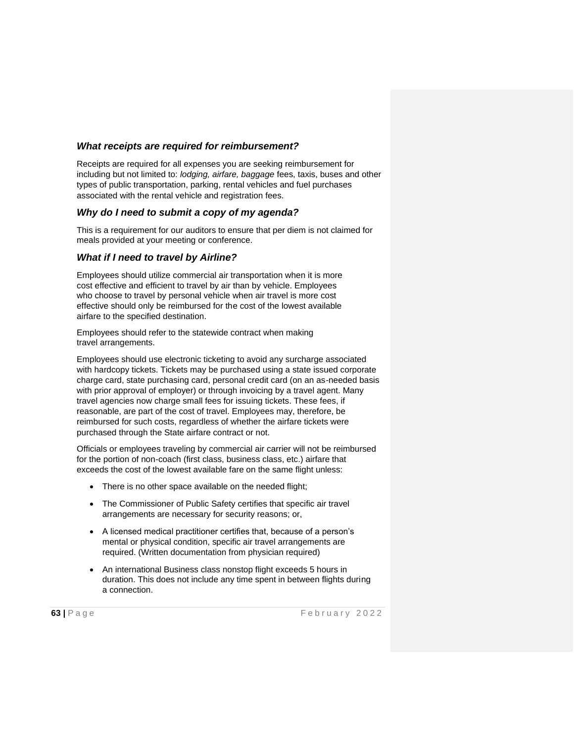## *What receipts are required for reimbursement?*

Receipts are required for all expenses you are seeking reimbursement for including but not limited to: *lodging, airfare, baggage* fees, taxis, buses and other types of public transportation, parking, rental vehicles and fuel purchases associated with the rental vehicle and registration fees.

### *Why do I need to submit a copy of my agenda?*

This is a requirement for our auditors to ensure that per diem is not claimed for meals provided at your meeting or conference.

### *What if I need to travel by Airline?*

Employees should utilize commercial air transportation when it is more cost effective and efficient to travel by air than by vehicle. Employees who choose to travel by personal vehicle when air travel is more cost effective should only be reimbursed for the cost of the lowest available airfare to the specified destination.

Employees should refer to the statewide contract when making travel arrangements.

Employees should use electronic ticketing to avoid any surcharge associated with hardcopy tickets. Tickets may be purchased using a state issued corporate charge card, state purchasing card, personal credit card (on an as-needed basis with prior approval of employer) or through invoicing by a travel agent. Many travel agencies now charge small fees for issuing tickets. These fees, if reasonable, are part of the cost of travel. Employees may, therefore, be reimbursed for such costs, regardless of whether the airfare tickets were purchased through the State airfare contract or not.

Officials or employees traveling by commercial air carrier will not be reimbursed for the portion of non-coach (first class, business class, etc.) airfare that exceeds the cost of the lowest available fare on the same flight unless:

- There is no other space available on the needed flight;
- The Commissioner of Public Safety certifies that specific air travel arrangements are necessary for security reasons; or,
- A licensed medical practitioner certifies that, because of a person's mental or physical condition, specific air travel arrangements are required. (Written documentation from physician required)
- An international Business class nonstop flight exceeds 5 hours in duration. This does not include any time spent in between flights during a connection.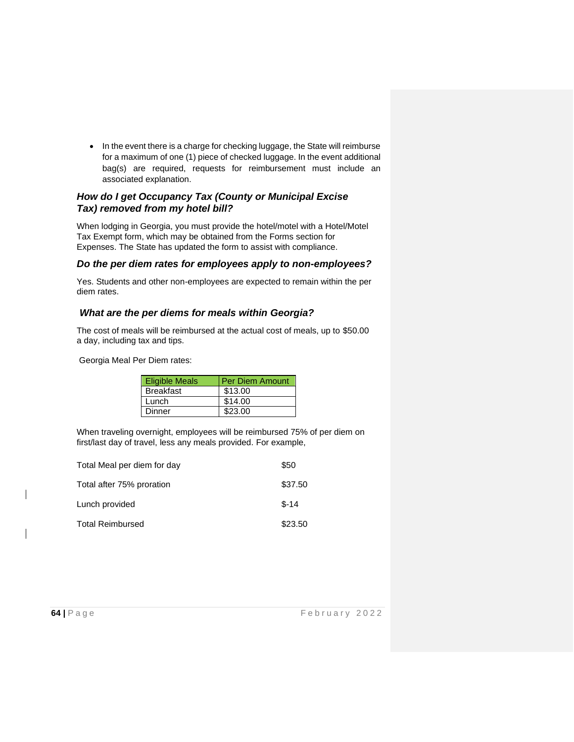• In the event there is a charge for checking luggage, the State will reimburse for a maximum of one (1) piece of checked luggage. In the event additional bag(s) are required, requests for reimbursement must include an associated explanation.

## *How do I get Occupancy Tax (County or Municipal Excise Tax) removed from my hotel bill?*

When lodging in Georgia, you must provide the hotel/motel with a Hotel/Motel Tax Exempt form, which may be obtained from the Forms section for Expenses. The State has updated the form to assist with compliance.

### *Do the per diem rates for employees apply to non-employees?*

Yes. Students and other non-employees are expected to remain within the per diem rates.

# *What are the per diems for meals within Georgia?*

The cost of meals will be reimbursed at the actual cost of meals, up to \$50.00 a day, including tax and tips.

Georgia Meal Per Diem rates:

| <b>Eligible Meals</b> | <b>Per Diem Amount</b> |
|-----------------------|------------------------|
| <b>Breakfast</b>      | \$13.00                |
| Lunch                 | \$14.00                |
| <b>Dinner</b>         | \$23.00                |

When traveling overnight, employees will be reimbursed 75% of per diem on first/last day of travel, less any meals provided. For example,

| Total Meal per diem for day | \$50    |
|-----------------------------|---------|
| Total after 75% proration   | \$37.50 |
| Lunch provided              | $$-14$  |
| <b>Total Reimbursed</b>     | \$23.50 |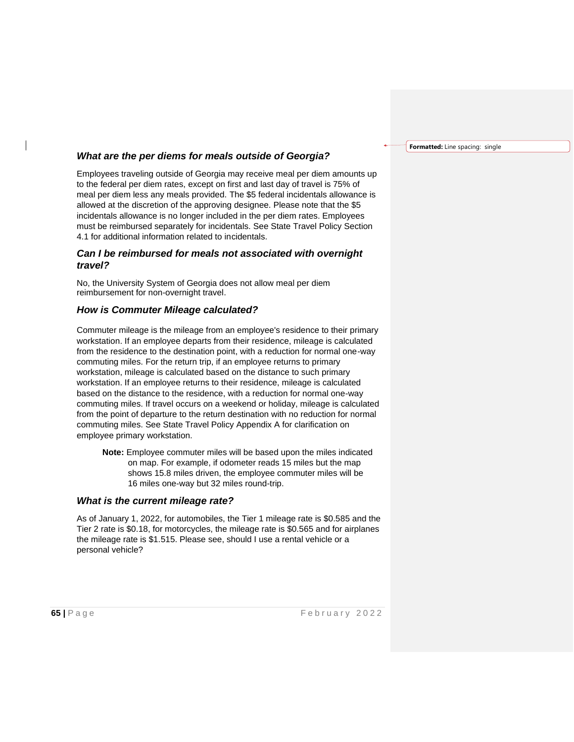#### *What are the per diems for meals outside of Georgia?*

Employees traveling outside of Georgia may receive meal per diem amounts up to the federal per diem rates, except on first and last day of travel is 75% of meal per diem less any meals provided. The \$5 federal incidentals allowance is allowed at the discretion of the approving designee. Please note that the \$5 incidentals allowance is no longer included in the per diem rates. Employees must be reimbursed separately for incidentals. See State Travel Policy Section 4.1 for additional information related to incidentals.

#### *Can I be reimbursed for meals not associated with overnight travel?*

No, the University System of Georgia does not allow meal per diem reimbursement for non-overnight travel.

#### *How is Commuter Mileage calculated?*

Commuter mileage is the mileage from an employee's residence to their primary workstation. If an employee departs from their residence, mileage is calculated from the residence to the destination point, with a reduction for normal one-way commuting miles. For the return trip, if an employee returns to primary workstation, mileage is calculated based on the distance to such primary workstation. If an employee returns to their residence, mileage is calculated based on the distance to the residence, with a reduction for normal one-way commuting miles. If travel occurs on a weekend or holiday, mileage is calculated from the point of departure to the return destination with no reduction for normal commuting miles. See State Travel Policy Appendix A for clarification on employee primary workstation.

**Note:** Employee commuter miles will be based upon the miles indicated on map. For example, if odometer reads 15 miles but the map shows 15.8 miles driven, the employee commuter miles will be 16 miles one-way but 32 miles round-trip.

#### *What is the current mileage rate?*

As of January 1, 2022, for automobiles, the Tier 1 mileage rate is \$0.585 and the Tier 2 rate is \$0.18, for motorcycles, the mileage rate is \$0.565 and for airplanes the mileage rate is \$1.515. Please see, should I use a rental vehicle or a personal vehicle?

**Formatted:** Line spacing: single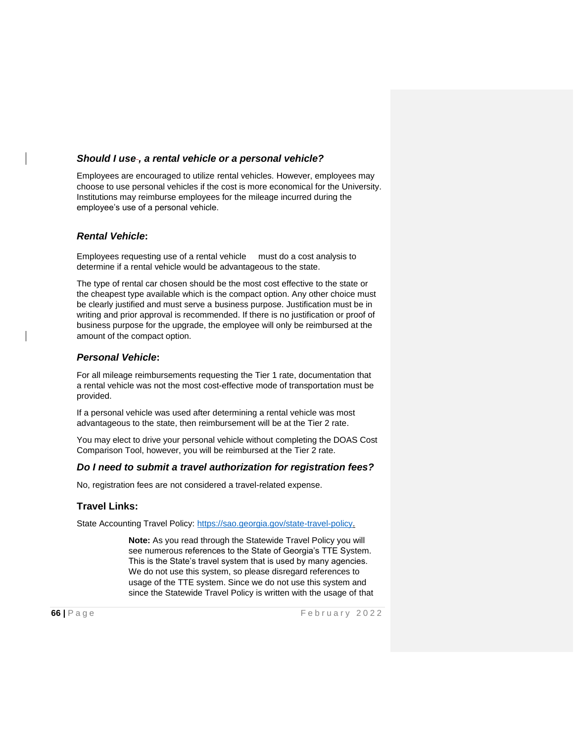#### *Should I use , a rental vehicle or a personal vehicle?*

Employees are encouraged to utilize rental vehicles. However, employees may choose to use personal vehicles if the cost is more economical for the University. Institutions may reimburse employees for the mileage incurred during the employee's use of a personal vehicle.

#### *Rental Vehicle***:**

Employees requesting use of a rental vehicle must do a cost analysis to determine if a rental vehicle would be advantageous to the state.

The type of rental car chosen should be the most cost effective to the state or the cheapest type available which is the compact option. Any other choice must be clearly justified and must serve a business purpose. Justification must be in writing and prior approval is recommended. If there is no justification or proof of business purpose for the upgrade, the employee will only be reimbursed at the amount of the compact option.

#### *Personal Vehicle***:**

For all mileage reimbursements requesting the Tier 1 rate, documentation that a rental vehicle was not the most cost-effective mode of transportation must be provided.

If a personal vehicle was used after determining a rental vehicle was most advantageous to the state, then reimbursement will be at the Tier 2 rate.

You may elect to drive your personal vehicle without completing the DOAS Cost Comparison Tool, however, you will be reimbursed at the Tier 2 rate.

#### *Do I need to submit a travel authorization for registration fees?*

No, registration fees are not considered a travel-related expense.

#### **Travel Links:**

State Accounting Travel Policy: [https://sao.georgia.gov/state-travel-policy.](https://sao.georgia.gov/state-travel-policy)

**Note:** As you read through the Statewide Travel Policy you will see numerous references to the State of Georgia's TTE System. This is the State's travel system that is used by many agencies. We do not use this system, so please disregard references to usage of the TTE system. Since we do not use this system and since the Statewide Travel Policy is written with the usage of that

**66** | Page **F** e b r u a r y 2022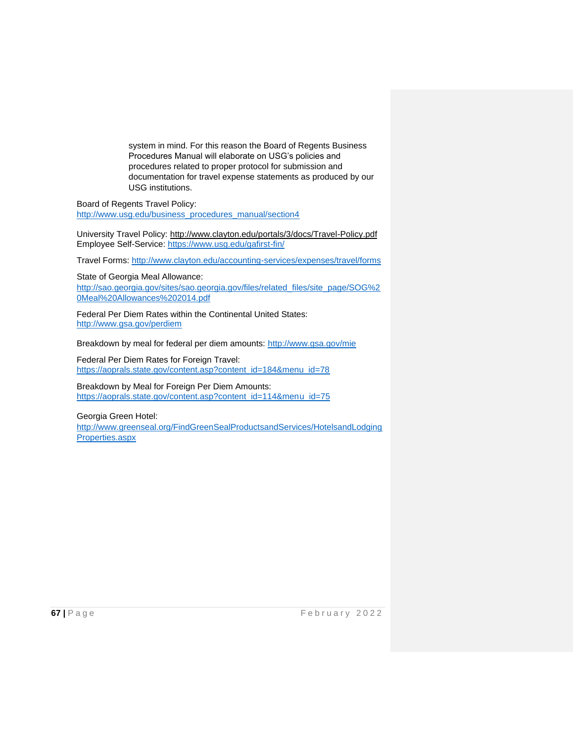system in mind. For this reason the Board of Regents Business Procedures Manual will elaborate on USG's policies and procedures related to proper protocol for submission and documentation for travel expense statements as produced by our USG institutions.

Board of Regents Travel Policy: [http://www.usg.edu/business\\_procedures\\_manual/section4](http://www.usg.edu/business_procedures_manual/section4)

University Travel Policy:<http://www.clayton.edu/portals/3/docs/Travel-Policy.pdf> Employee Self-Service:<https://www.usg.edu/gafirst-fin/>

Travel Forms:<http://www.clayton.edu/accounting-services/expenses/travel/forms>

State of Georgia Meal Allowance: [http://sao.georgia.gov/sites/sao.georgia.gov/files/related\\_files/site\\_page/SOG%2](http://sao.georgia.gov/sites/sao.georgia.gov/files/related_files/site_page/SOG%20Meal%20Allowances%202014.pdf) [0Meal%20Allowances%202014.pdf](http://sao.georgia.gov/sites/sao.georgia.gov/files/related_files/site_page/SOG%20Meal%20Allowances%202014.pdf)

Federal Per Diem Rates within the Continental United States: <http://www.gsa.gov/perdiem>

Breakdown by meal for federal per diem amounts:<http://www.gsa.gov/mie>

Federal Per Diem Rates for Foreign Travel: [https://aoprals.state.gov/content.asp?content\\_id=184&menu\\_id=78](https://aoprals.state.gov/content.asp?content_id=184&menu_id=78)

Breakdown by Meal for Foreign Per Diem Amounts: [https://aoprals.state.gov/content.asp?content\\_id=114&menu\\_id=75](https://aoprals.state.gov/content.asp?content_id=114&menu_id=75)

Georgia Green Hotel:

[http://www.greenseal.org/FindGreenSealProductsandServices/HotelsandLodging](http://www.greenseal.org/FindGreenSealProductsandServices/HotelsandLodgingProperties.aspx) [Properties.aspx](http://www.greenseal.org/FindGreenSealProductsandServices/HotelsandLodgingProperties.aspx)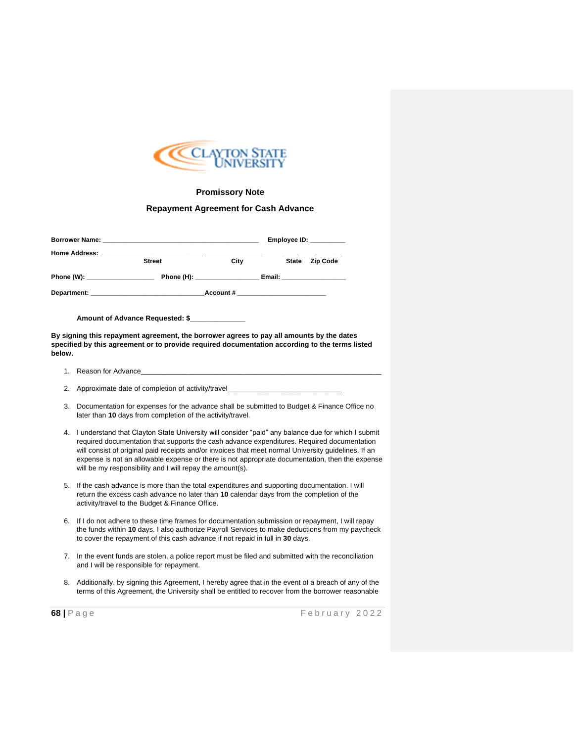

#### **Promissory Note**

#### **Repayment Agreement for Cash Advance**

|                               | Employee ID: $\_\_\_\_\_\_\_\_\_\_\_\_\_\_\_\_\_$ |                                 |  |  |                             |
|-------------------------------|---------------------------------------------------|---------------------------------|--|--|-----------------------------|
|                               | <b>Street</b>                                     | City                            |  |  | State Zip Code              |
| Phone (W): __________________ |                                                   | Phone (H): _________________    |  |  | Email: ____________________ |
|                               |                                                   | Account # _____________________ |  |  |                             |

**Amount of Advance Requested: \$\_\_\_\_\_\_\_\_\_\_\_\_\_\_**

**By signing this repayment agreement, the borrower agrees to pay all amounts by the dates specified by this agreement or to provide required documentation according to the terms listed below.**

- 1. Reason for Advance\_\_\_\_\_\_\_\_\_\_\_\_\_\_\_\_\_\_\_\_\_\_\_\_\_\_\_\_\_\_\_\_\_\_\_\_\_\_\_\_\_\_\_\_\_\_\_\_\_\_\_\_\_\_\_\_\_\_\_\_\_
- 2. Approximate date of completion of activity/travel
- 3. Documentation for expenses for the advance shall be submitted to Budget & Finance Office no later than **10** days from completion of the activity/travel.
- 4. I understand that Clayton State University will consider "paid" any balance due for which I submit required documentation that supports the cash advance expenditures. Required documentation will consist of original paid receipts and/or invoices that meet normal University guidelines. If an expense is not an allowable expense or there is not appropriate documentation, then the expense will be my responsibility and I will repay the amount(s).
- 5. If the cash advance is more than the total expenditures and supporting documentation. I will return the excess cash advance no later than **10** calendar days from the completion of the activity/travel to the Budget & Finance Office.
- 6. If I do not adhere to these time frames for documentation submission or repayment, I will repay the funds within **10** days. I also authorize Payroll Services to make deductions from my paycheck to cover the repayment of this cash advance if not repaid in full in **30** days.
- 7. In the event funds are stolen, a police report must be filed and submitted with the reconciliation and I will be responsible for repayment.
- 8. Additionally, by signing this Agreement, I hereby agree that in the event of a breach of any of the terms of this Agreement, the University shall be entitled to recover from the borrower reasonable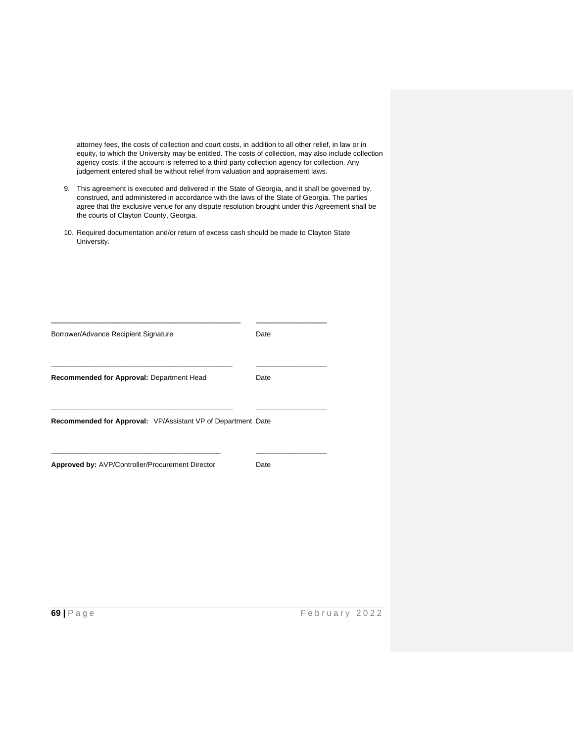attorney fees, the costs of collection and court costs, in addition to all other relief, in law or in equity, to which the University may be entitled. The costs of collection, may also include collection agency costs, if the account is referred to a third party collection agency for collection. Any judgement entered shall be without relief from valuation and appraisement laws.

- 9. This agreement is executed and delivered in the State of Georgia, and it shall be governed by, construed, and administered in accordance with the laws of the State of Georgia. The parties agree that the exclusive venue for any dispute resolution brought under this Agreement shall be the courts of Clayton County, Georgia.
- 10. Required documentation and/or return of excess cash should be made to Clayton State University.

| Borrower/Advance Recipient Signature                         | Date |
|--------------------------------------------------------------|------|
| Recommended for Approval: Department Head                    | Date |
| Recommended for Approval: VP/Assistant VP of Department Date |      |
| Approved by: AVP/Controller/Procurement Director             | Date |